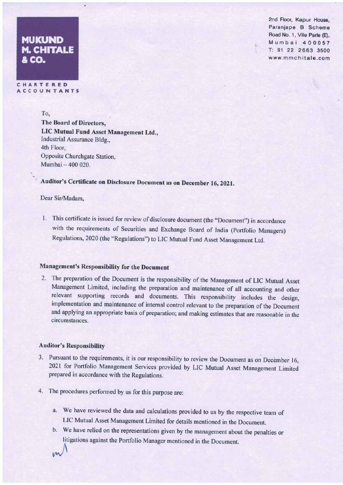# **MUKUND M. CHITALE** &co

2nd Floor, Kapur House, Paranjape B Scheme Road No. 1, Vile Parle (E), Mumbai 400057 T: 91 22 2663 3500 www.mmchitale.com

C H A R T <mark>E R E D</mark><br>A C C O U N <mark>T A N</mark> T S

To,

The Board of Directors, LIC Mutusl Fund Asset Management Ltd., Industrial Assurance Bldg.. 4th Floor, Opposite Churchgate Station, Mumbai- 400 020.

# Auditor's Certificate on Disclosure Document as on December 16, 2021.

# Dear Sir/Madam,

1. This certificate is issued for review of disclosure document (the "Document") in accordance with the requirements of Securities and Exchange Board of India (Portfolio Managers) Regulations, 2020 (the "Regulations") to LIC Mutual Fund Asset Management Ltd.

# Management's Responsibility for the Document

2. The preparation of the Document is the responsibility of the Management of LIC Mutual Asset Management Limited, including the preparation and maintenance of all accounting and other relevant supporting records and documents. This responsibility includes the design, implementation and maintenance of internal control relevant to the preparation of the Document and applying an appropriate basis of preparation; and making estimates that are reasonable in the circumstances.

# Auditor's Responsibility

- 3. Pursuant to the requirements, it is our responsibility to review the Document as on December 16, 2021 for Portfolio Management Services provided by LIC Mutual Asset Management Limited prepared in accordance with the Regulations.
- 4. The procedures performed by us for this purpose are:
	- a. We have reviewed the data and calculations provided to us by the respective team of LIC Mutual Asset Management Limited for details mentioned in fie Document,
	- b. We have relied on the representations given by the management about the penalties or litigations against the Portfolio Manager mentioned in the Document.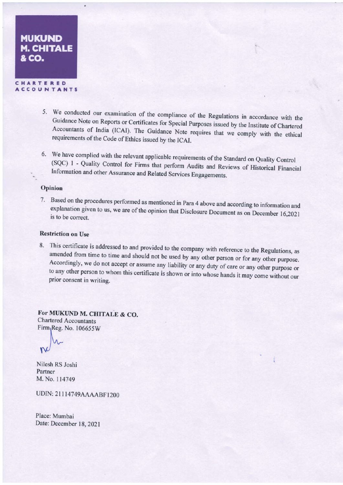# **MUKUND** M. CHITALE &co.

CHARTERED **ACCOUNTANTS** 

- 5. We conducted our examination of the compliance of the Regulations in accordance with the Guidance Note on Reports or Certificates for Special Purposes issued by the Institute of Chartered ... decountants of India (ICAI). The Guidance Note requires that we comply with the ethical requirements of the Code of Ethics issued by the ICAI.
- 6. We have complied with the relevant applicable requirements of the Standard on Quality Control (SQC) 1 Quality Control for Firms that perform Audits and Reviews of Historical Financial -\_ Information and other Assurance and Related Services Engagements.

# Opinion

7. Based on the procedures performed as mentioned in Para 4 above and according to information and explanation given to us, we are of the opinion that Disclosure Document as on December 16,2021 is to be correct Explanation given to us, we are of the opinion that Disclosure Document as on December 16,2021

# Restriction on Use

8. This certificate is addressed to and provided to the company with reference to the Regulations, as amended from time to time and should not be used by any other person or for any other purpose. Accordingly, we do not ac to any other person to whom this certificate is shown or into whose hands it may come without our prior consent in writing.

For MUKUND M. CHITALE & CO. Chartered Accountants  $Firm_1Reg.$  No.  $106655W$ 

 $\infty$ 

Nilesh RS Joshi Partner M. No. I 14749

UDIN: 2l I |4749AAAABF1200

Place: Mumbai Date: December 18, 2021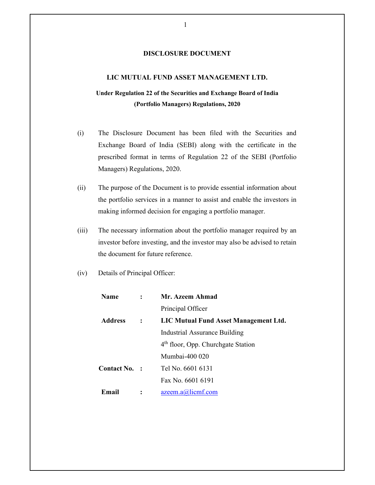# **DISCLOSURE DOCUMENT**

# **LIC MUTUAL FUND ASSET MANAGEMENT LTD.**

# **Under Regulation 22 of the Securities and Exchange Board of India (Portfolio Managers) Regulations, 2020**

- (i) The Disclosure Document has been filed with the Securities and Exchange Board of India (SEBI) along with the certificate in the prescribed format in terms of Regulation 22 of the SEBI (Portfolio Managers) Regulations, 2020.
- (ii) The purpose of the Document is to provide essential information about the portfolio services in a manner to assist and enable the investors in making informed decision for engaging a portfolio manager.
- (iii) The necessary information about the portfolio manager required by an investor before investing, and the investor may also be advised to retain the document for future reference.
- (iv) Details of Principal Officer:

| Name           |                | Mr. Azeem Ahmad                                |  |
|----------------|----------------|------------------------------------------------|--|
|                |                | Principal Officer                              |  |
| <b>Address</b> | $\ddot{\cdot}$ | LIC Mutual Fund Asset Management Ltd.          |  |
|                |                | Industrial Assurance Building                  |  |
|                |                | 4 <sup>th</sup> floor, Opp. Churchgate Station |  |
|                |                | Mumbai-400 020                                 |  |
| Contact No. :  |                | Tel No. 6601 6131                              |  |
|                |                | Fax No. 6601 6191                              |  |
| Email          |                | $a$ zeem. $a$ ( $a$ ) $l$ icmf.com             |  |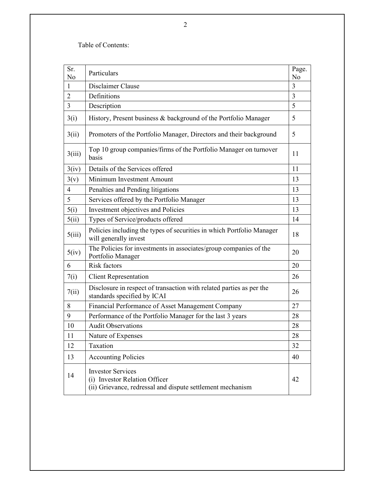Table of Contents:

| Sr.<br>No      | Particulars                                                                                                             | Page.<br>N <sub>o</sub> |
|----------------|-------------------------------------------------------------------------------------------------------------------------|-------------------------|
| 1              | Disclaimer Clause                                                                                                       | 3                       |
| $\overline{2}$ | Definitions                                                                                                             | 3                       |
| $\overline{3}$ | Description                                                                                                             | 5                       |
| 3(i)           | History, Present business & background of the Portfolio Manager                                                         | 5                       |
| 3(ii)          | Promoters of the Portfolio Manager, Directors and their background                                                      | 5                       |
| 3(iii)         | Top 10 group companies/firms of the Portfolio Manager on turnover<br>basis                                              | 11                      |
| 3(iv)          | Details of the Services offered                                                                                         | 11                      |
| 3(v)           | Minimum Investment Amount                                                                                               | 13                      |
| 4              | Penalties and Pending litigations                                                                                       | 13                      |
| 5              | Services offered by the Portfolio Manager                                                                               | 13                      |
| 5(i)           | Investment objectives and Policies                                                                                      | 13                      |
| 5(ii)          | Types of Service/products offered                                                                                       | 14                      |
| 5(iii)         | Policies including the types of securities in which Portfolio Manager<br>will generally invest                          | 18                      |
| 5(iv)          | The Policies for investments in associates/group companies of the<br>Portfolio Manager                                  | 20                      |
| 6              | <b>Risk factors</b>                                                                                                     | 20                      |
| 7(i)           | <b>Client Representation</b>                                                                                            | 26                      |
| 7(ii)          | Disclosure in respect of transaction with related parties as per the<br>standards specified by ICAI                     | 26                      |
| 8              | Financial Performance of Asset Management Company                                                                       | 27                      |
| 9              | Performance of the Portfolio Manager for the last 3 years                                                               | 28                      |
| 10             | <b>Audit Observations</b>                                                                                               | 28                      |
| 11             | Nature of Expenses                                                                                                      | 28                      |
| 12             | Taxation                                                                                                                | 32                      |
| 13             | <b>Accounting Policies</b>                                                                                              | 40                      |
| 14             | <b>Investor Services</b><br>(i) Investor Relation Officer<br>(ii) Grievance, redressal and dispute settlement mechanism | 42                      |

2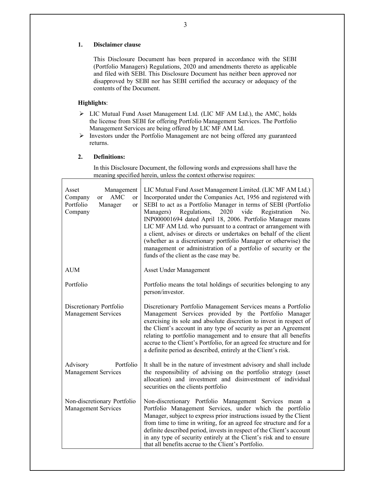### **1. Disclaimer clause**

This Disclosure Document has been prepared in accordance with the SEBI (Portfolio Managers) Regulations, 2020 and amendments thereto as applicable and filed with SEBI. This Disclosure Document has neither been approved nor disapproved by SEBI nor has SEBI certified the accuracy or adequacy of the contents of the Document.

### **Highlights**:

- LIC Mutual Fund Asset Management Ltd. (LIC MF AM Ltd.), the AMC, holds the license from SEBI for offering Portfolio Management Services. The Portfolio Management Services are being offered by LIC MF AM Ltd.
- $\triangleright$  Investors under the Portfolio Management are not being offered any guaranteed returns.

#### **2. Definitions:**

 $\mathbf{I}$ 

In this Disclosure Document, the following words and expressions shall have the meaning specified herein, unless the context otherwise requires:

| Management<br>Asset<br><b>AMC</b><br>Company<br><sub>or</sub><br><sub>or</sub><br>Portfolio<br>Manager<br><sub>or</sub><br>Company | LIC Mutual Fund Asset Management Limited. (LIC MF AM Ltd.)<br>Incorporated under the Companies Act, 1956 and registered with<br>SEBI to act as a Portfolio Manager in terms of SEBI (Portfolio<br>Regulations,<br>2020<br>vide<br>Registration<br>Managers)<br>No.<br>INP000001694 dated April 18, 2006. Portfolio Manager means<br>LIC MF AM Ltd. who pursuant to a contract or arrangement with<br>a client, advises or directs or undertakes on behalf of the client<br>(whether as a discretionary portfolio Manager or otherwise) the<br>management or administration of a portfolio of security or the<br>funds of the client as the case may be. |
|------------------------------------------------------------------------------------------------------------------------------------|---------------------------------------------------------------------------------------------------------------------------------------------------------------------------------------------------------------------------------------------------------------------------------------------------------------------------------------------------------------------------------------------------------------------------------------------------------------------------------------------------------------------------------------------------------------------------------------------------------------------------------------------------------|
| <b>AUM</b>                                                                                                                         | <b>Asset Under Management</b>                                                                                                                                                                                                                                                                                                                                                                                                                                                                                                                                                                                                                           |
| Portfolio                                                                                                                          | Portfolio means the total holdings of securities belonging to any<br>person/investor.                                                                                                                                                                                                                                                                                                                                                                                                                                                                                                                                                                   |
| Discretionary Portfolio<br><b>Management Services</b>                                                                              | Discretionary Portfolio Management Services means a Portfolio<br>Management Services provided by the Portfolio Manager<br>exercising its sole and absolute discretion to invest in respect of<br>the Client's account in any type of security as per an Agreement<br>relating to portfolio management and to ensure that all benefits<br>accrue to the Client's Portfolio, for an agreed fee structure and for<br>a definite period as described, entirely at the Client's risk.                                                                                                                                                                        |
| Portfolio<br>Advisory<br>Management Services                                                                                       | It shall be in the nature of investment advisory and shall include<br>the responsibility of advising on the portfolio strategy (asset<br>allocation) and investment and disinvestment of individual<br>securities on the clients portfolio                                                                                                                                                                                                                                                                                                                                                                                                              |
| Non-discretionary Portfolio<br><b>Management Services</b>                                                                          | Non-discretionary Portfolio Management Services mean a<br>Portfolio Management Services, under which the portfolio<br>Manager, subject to express prior instructions issued by the Client<br>from time to time in writing, for an agreed fee structure and for a<br>definite described period, invests in respect of the Client's account<br>in any type of security entirely at the Client's risk and to ensure<br>that all benefits accrue to the Client's Portfolio.                                                                                                                                                                                 |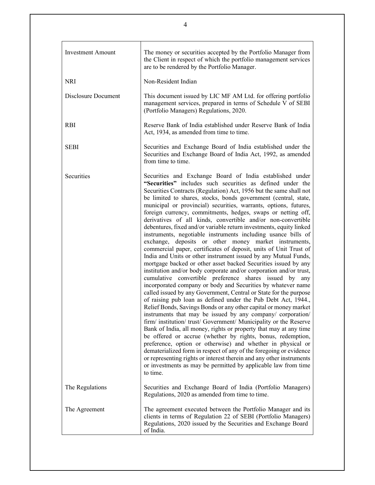| <b>Investment Amount</b> | The money or securities accepted by the Portfolio Manager from<br>the Client in respect of which the portfolio management services<br>are to be rendered by the Portfolio Manager.                                                                                                                                                                                                                                                                                                                                                                                                                                                                                                                                                                                                                                                                                                                                                                                                                                                                                                                                                                                                                                                                                                                                                                                                                                                                                                                                                                                                                                                                                                                                                                                                                                                                          |
|--------------------------|-------------------------------------------------------------------------------------------------------------------------------------------------------------------------------------------------------------------------------------------------------------------------------------------------------------------------------------------------------------------------------------------------------------------------------------------------------------------------------------------------------------------------------------------------------------------------------------------------------------------------------------------------------------------------------------------------------------------------------------------------------------------------------------------------------------------------------------------------------------------------------------------------------------------------------------------------------------------------------------------------------------------------------------------------------------------------------------------------------------------------------------------------------------------------------------------------------------------------------------------------------------------------------------------------------------------------------------------------------------------------------------------------------------------------------------------------------------------------------------------------------------------------------------------------------------------------------------------------------------------------------------------------------------------------------------------------------------------------------------------------------------------------------------------------------------------------------------------------------------|
| <b>NRI</b>               | Non-Resident Indian                                                                                                                                                                                                                                                                                                                                                                                                                                                                                                                                                                                                                                                                                                                                                                                                                                                                                                                                                                                                                                                                                                                                                                                                                                                                                                                                                                                                                                                                                                                                                                                                                                                                                                                                                                                                                                         |
| Disclosure Document      | This document issued by LIC MF AM Ltd. for offering portfolio<br>management services, prepared in terms of Schedule V of SEBI<br>(Portfolio Managers) Regulations, 2020.                                                                                                                                                                                                                                                                                                                                                                                                                                                                                                                                                                                                                                                                                                                                                                                                                                                                                                                                                                                                                                                                                                                                                                                                                                                                                                                                                                                                                                                                                                                                                                                                                                                                                    |
| <b>RBI</b>               | Reserve Bank of India established under Reserve Bank of India<br>Act, 1934, as amended from time to time.                                                                                                                                                                                                                                                                                                                                                                                                                                                                                                                                                                                                                                                                                                                                                                                                                                                                                                                                                                                                                                                                                                                                                                                                                                                                                                                                                                                                                                                                                                                                                                                                                                                                                                                                                   |
| <b>SEBI</b>              | Securities and Exchange Board of India established under the<br>Securities and Exchange Board of India Act, 1992, as amended<br>from time to time.                                                                                                                                                                                                                                                                                                                                                                                                                                                                                                                                                                                                                                                                                                                                                                                                                                                                                                                                                                                                                                                                                                                                                                                                                                                                                                                                                                                                                                                                                                                                                                                                                                                                                                          |
| Securities               | Securities and Exchange Board of India established under<br>"Securities" includes such securities as defined under the<br>Securities Contracts (Regulation) Act, 1956 but the same shall not<br>be limited to shares, stocks, bonds government (central, state,<br>municipal or provincial) securities, warrants, options, futures,<br>foreign currency, commitments, hedges, swaps or netting off,<br>derivatives of all kinds, convertible and/or non-convertible<br>debentures, fixed and/or variable return investments, equity linked<br>instruments, negotiable instruments including usance bills of<br>exchange, deposits or other money market instruments,<br>commercial paper, certificates of deposit, units of Unit Trust of<br>India and Units or other instrument issued by any Mutual Funds,<br>mortgage backed or other asset backed Securities issued by any<br>institution and/or body corporate and/or corporation and/or trust,<br>cumulative convertible preference shares issued by any<br>incorporated company or body and Securities by whatever name<br>called issued by any Government, Central or State for the purpose<br>of raising pub loan as defined under the Pub Debt Act, 1944.,<br>Relief Bonds, Savings Bonds or any other capital or money market<br>instruments that may be issued by any company/ corporation/<br>firm/ institution/ trust/ Government/ Municipality or the Reserve<br>Bank of India, all money, rights or property that may at any time<br>be offered or accrue (whether by rights, bonus, redemption,<br>preference, option or otherwise) and whether in physical or<br>dematerialized form in respect of any of the foregoing or evidence<br>or representing rights or interest therein and any other instruments<br>or investments as may be permitted by applicable law from time<br>to time. |
| The Regulations          | Securities and Exchange Board of India (Portfolio Managers)<br>Regulations, 2020 as amended from time to time.                                                                                                                                                                                                                                                                                                                                                                                                                                                                                                                                                                                                                                                                                                                                                                                                                                                                                                                                                                                                                                                                                                                                                                                                                                                                                                                                                                                                                                                                                                                                                                                                                                                                                                                                              |
| The Agreement            | The agreement executed between the Portfolio Manager and its<br>clients in terms of Regulation 22 of SEBI (Portfolio Managers)<br>Regulations, 2020 issued by the Securities and Exchange Board<br>of India.                                                                                                                                                                                                                                                                                                                                                                                                                                                                                                                                                                                                                                                                                                                                                                                                                                                                                                                                                                                                                                                                                                                                                                                                                                                                                                                                                                                                                                                                                                                                                                                                                                                |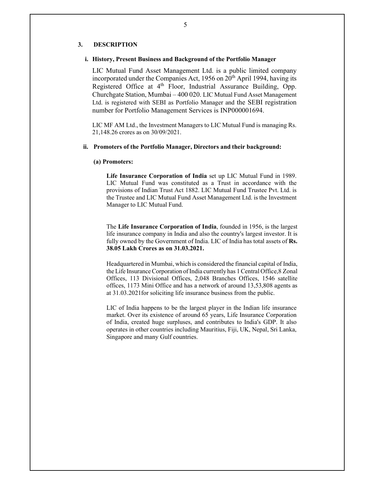### **3. DESCRIPTION**

#### **i. History, Present Business and Background of the Portfolio Manager**

LIC Mutual Fund Asset Management Ltd. is a public limited company incorporated under the Companies Act, 1956 on 20<sup>th</sup> April 1994, having its Registered Office at 4<sup>th</sup> Floor, Industrial Assurance Building, Opp. Churchgate Station, Mumbai – 400 020. LIC Mutual Fund Asset Management Ltd. is registered with SEBI as Portfolio Manager and the SEBI registration number for Portfolio Management Services is INP000001694.

LIC MF AM Ltd., the Investment Managers to LIC Mutual Fund is managing Rs. 21,148.26 crores as on 30/09/2021.

#### **ii. Promoters of the Portfolio Manager, Directors and their background:**

#### **(a) Promoters:**

**Life Insurance Corporation of India** set up LIC Mutual Fund in 1989. LIC Mutual Fund was constituted as a Trust in accordance with the provisions of Indian Trust Act 1882. LIC Mutual Fund Trustee Pvt. Ltd. is the Trustee and LIC Mutual Fund Asset Management Ltd. is the Investment Manager to LIC Mutual Fund.

The **Life Insurance Corporation of India**, founded in 1956, is the largest life insurance company in India and also the country's largest investor. It is fully owned by the Government of India. LIC of India has total assets of **Rs. 38.05 Lakh Crores as on 31.03.2021.** 

Headquartered in Mumbai, which is considered the financial capital of India, the Life Insurance Corporation of India currently has 1 Central Office, 8 Zonal Offices, 113 Divisional Offices, 2,048 Branches Offices, 1546 satellite offices, 1173 Mini Office and has a network of around 13,53,808 agents as at 31.03.2021for soliciting life insurance business from the public.

LIC of India happens to be the largest player in the Indian life insurance market. Over its existence of around 65 years, Life Insurance Corporation of India, created huge surpluses, and contributes to India's GDP. It also operates in other countries including Mauritius, Fiji, UK, Nepal, Sri Lanka, Singapore and many Gulf countries.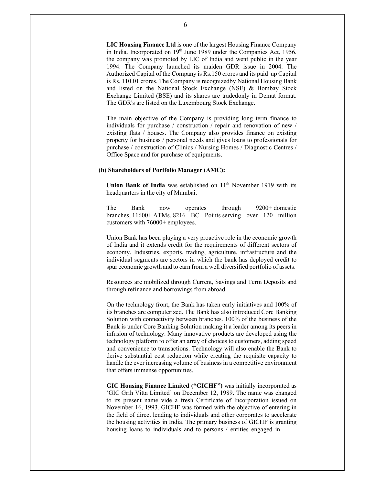**LIC Housing Finance Ltd** is one of the largest Housing Finance Company in India. Incorporated on 19<sup>th</sup> June 1989 under the Companies Act, 1956, the company was promoted by LIC of India and went public in the year 1994. The Company launched its maiden GDR issue in 2004. The Authorized Capital of the Company is Rs.150 crores and its paid up Capital is Rs. 110.01 crores. The Company is recognized by National Housing Bank and listed on the National Stock Exchange (NSE) & Bombay Stock Exchange Limited (BSE) and its shares are traded only in Demat format. The GDR's are listed on the Luxembourg Stock Exchange.

The main objective of the Company is providing long term finance to individuals for purchase / construction / repair and renovation of new / existing flats / houses. The Company also provides finance on existing property for business / personal needs and gives loans to professionals for purchase / construction of Clinics / Nursing Homes / Diagnostic Centres / Office Space and for purchase of equipments.

### **(b) Shareholders of Portfolio Manager (AMC):**

Union Bank of India was established on 11<sup>th</sup> November 1919 with its headquarters in the city of Mumbai.

The Bank now operates through 9200+ domestic branches, 11600+ ATMs, 8216 BC Points serving over 120 million customers with 76000+ employees.

Union Bank has been playing a very proactive role in the economic growth of India and it extends credit for the requirements of different sectors of economy. Industries, exports, trading, agriculture, infrastructure and the individual segments are sectors in which the bank has deployed credit to spur economic growth and to earn from a well diversified portfolio of assets.

Resources are mobilized through Current, Savings and Term Deposits and through refinance and borrowings from abroad.

On the technology front, the Bank has taken early initiatives and 100% of its branches are computerized. The Bank has also introduced Core Banking Solution with connectivity between branches. 100% of the business of the Bank is under Core Banking Solution making it a leader among its peers in infusion of technology. Many innovative products are developed using the technology platform to offer an array of choices to customers, adding speed and convenience to transactions. Technology will also enable the Bank to derive substantial cost reduction while creating the requisite capacity to handle the ever increasing volume of business in a competitive environment that offers immense opportunities.

**GIC Housing Finance Limited ("GICHF")** was initially incorporated as 'GIC Grih Vitta Limited' on December 12, 1989. The name was changed to its present name vide a fresh Certificate of Incorporation issued on November 16, 1993. GICHF was formed with the objective of entering in the field of direct lending to individuals and other corporates to accelerate the housing activities in India. The primary business of GICHF is granting housing loans to individuals and to persons / entities engaged in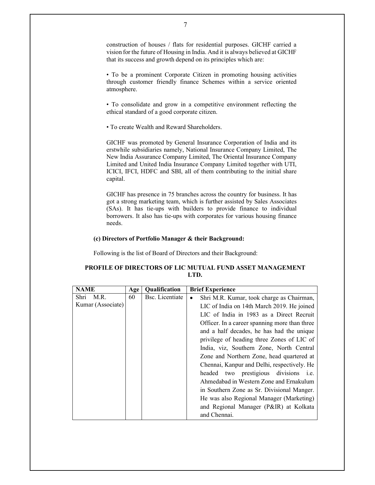construction of houses / flats for residential purposes. GICHF carried a vision for the future of Housing in India. And it is always believed at GICHF that its success and growth depend on its principles which are:

• To be a prominent Corporate Citizen in promoting housing activities through customer friendly finance Schemes within a service oriented atmosphere.

• To consolidate and grow in a competitive environment reflecting the ethical standard of a good corporate citizen.

• To create Wealth and Reward Shareholders.

GICHF was promoted by General Insurance Corporation of India and its erstwhile subsidiaries namely, National Insurance Company Limited, The New India Assurance Company Limited, The Oriental Insurance Company Limited and United India Insurance Company Limited together with UTI, ICICI, IFCI, HDFC and SBI, all of them contributing to the initial share capital.

GICHF has presence in 75 branches across the country for business. It has got a strong marketing team, which is further assisted by Sales Associates (SAs). It has tie-ups with builders to provide finance to individual borrowers. It also has tie-ups with corporates for various housing finance needs.

#### **(c) Directors of Portfolio Manager & their Background:**

Following is the list of Board of Directors and their Background:

# **PROFILE OF DIRECTORS OF LIC MUTUAL FUND ASSET MANAGEMENT LTD.**

| <b>NAME</b>       | Age | Qualification   | <b>Brief Experience</b>                         |
|-------------------|-----|-----------------|-------------------------------------------------|
| M.R.<br>Shri      | 60  | Bsc. Licentiate | Shri M.R. Kumar, took charge as Chairman,<br>٠  |
| Kumar (Associate) |     |                 | LIC of India on 14th March 2019. He joined      |
|                   |     |                 | LIC of India in 1983 as a Direct Recruit        |
|                   |     |                 | Officer. In a career spanning more than three   |
|                   |     |                 | and a half decades, he has had the unique       |
|                   |     |                 | privilege of heading three Zones of LIC of      |
|                   |     |                 | India, viz, Southern Zone, North Central        |
|                   |     |                 | Zone and Northern Zone, head quartered at       |
|                   |     |                 | Chennai, Kanpur and Delhi, respectively. He     |
|                   |     |                 | headed two prestigious divisions<br><i>i.e.</i> |
|                   |     |                 | Ahmedabad in Western Zone and Ernakulum         |
|                   |     |                 | in Southern Zone as Sr. Divisional Manger.      |
|                   |     |                 | He was also Regional Manager (Marketing)        |
|                   |     |                 | and Regional Manager (P&IR) at Kolkata          |
|                   |     |                 | and Chennai.                                    |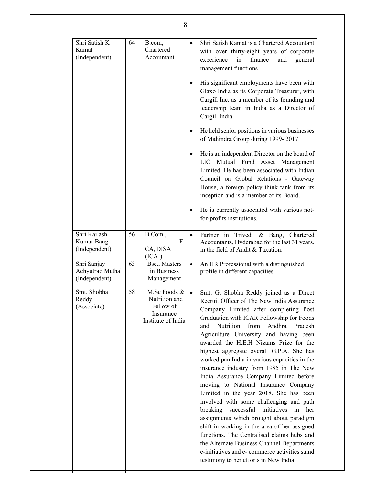| Shri Satish K<br>Kamat<br>(Independent)          | 64 | B.com,<br>Chartered<br>Accountant                                             | Shri Satish Kamat is a Chartered Accountant<br>with over thirty-eight years of corporate<br>in<br>experience<br>finance<br>and<br>general<br>management functions.                                                                                                                                                                                                                                                                                                                                                                                                                                                                                                                                                                                                                                                                                                                                                                                                       |
|--------------------------------------------------|----|-------------------------------------------------------------------------------|--------------------------------------------------------------------------------------------------------------------------------------------------------------------------------------------------------------------------------------------------------------------------------------------------------------------------------------------------------------------------------------------------------------------------------------------------------------------------------------------------------------------------------------------------------------------------------------------------------------------------------------------------------------------------------------------------------------------------------------------------------------------------------------------------------------------------------------------------------------------------------------------------------------------------------------------------------------------------|
|                                                  |    |                                                                               | His significant employments have been with<br>٠<br>Glaxo India as its Corporate Treasurer, with<br>Cargill Inc. as a member of its founding and<br>leadership team in India as a Director of<br>Cargill India.                                                                                                                                                                                                                                                                                                                                                                                                                                                                                                                                                                                                                                                                                                                                                           |
|                                                  |    |                                                                               | He held senior positions in various businesses<br>$\bullet$<br>of Mahindra Group during 1999-2017.                                                                                                                                                                                                                                                                                                                                                                                                                                                                                                                                                                                                                                                                                                                                                                                                                                                                       |
|                                                  |    |                                                                               | He is an independent Director on the board of<br>٠<br>LIC Mutual Fund Asset Management<br>Limited. He has been associated with Indian<br>Council on Global Relations - Gateway<br>House, a foreign policy think tank from its<br>inception and is a member of its Board.                                                                                                                                                                                                                                                                                                                                                                                                                                                                                                                                                                                                                                                                                                 |
|                                                  |    |                                                                               | He is currently associated with various not-<br>٠<br>for-profits institutions.                                                                                                                                                                                                                                                                                                                                                                                                                                                                                                                                                                                                                                                                                                                                                                                                                                                                                           |
| Shri Kailash<br>Kumar Bang<br>(Independent)      | 56 | B.Com.,<br>F<br>CA, DISA<br>(ICAI)                                            | Partner in Trivedi & Bang, Chartered<br>$\bullet$<br>Accountants, Hyderabad for the last 31 years,<br>in the field of Audit & Taxation.                                                                                                                                                                                                                                                                                                                                                                                                                                                                                                                                                                                                                                                                                                                                                                                                                                  |
| Shri Sanjay<br>Achyutrao Muthal<br>(Independent) | 63 | Bsc., Masters<br>in Business<br>Management                                    | An HR Professional with a distinguished<br>$\bullet$<br>profile in different capacities.                                                                                                                                                                                                                                                                                                                                                                                                                                                                                                                                                                                                                                                                                                                                                                                                                                                                                 |
| Smt. Shobha<br>Reddy<br>(Associate)              | 58 | M.Sc Foods &<br>Nutrition and<br>Fellow of<br>Insurance<br>Institute of India | Smt. G. Shobha Reddy joined as a Direct<br>Recruit Officer of The New India Assurance<br>Company Limited after completing Post<br>Graduation with ICAR Fellowship for Foods<br>from<br>Andhra<br>Nutrition<br>Pradesh<br>and<br>Agriculture University and having been<br>awarded the H.E.H Nizams Prize for the<br>highest aggregate overall G.P.A. She has<br>worked pan India in various capacities in the<br>insurance industry from 1985 in The New<br>India Assurance Company Limited before<br>moving to National Insurance Company<br>Limited in the year 2018. She has been<br>involved with some challenging and path<br>initiatives<br>breaking<br>successful<br>her<br>in<br>assignments which brought about paradigm<br>shift in working in the area of her assigned<br>functions. The Centralised claims hubs and<br>the Alternate Business Channel Departments<br>e-initiatives and e- commerce activities stand<br>testimony to her efforts in New India |

8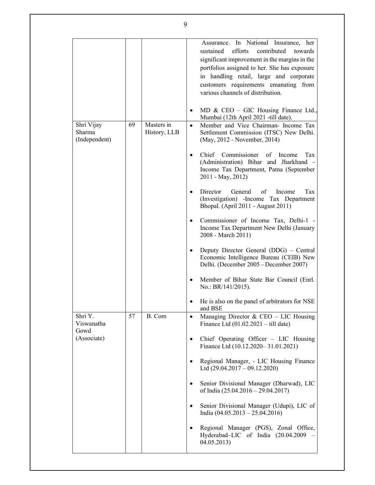|                                       |    |                            | Assurance. In National Insurance, her<br>efforts<br>sustained<br>contributed<br>towards<br>significant improvement in the margins in the<br>portfolios assigned to her. She has exposure<br>in handling retail, large and corporate<br>customers requirements emanating from<br>various channels of distribution.<br>MD & CEO - GIC Housing Finance Ltd.,<br>٠<br>Mumbai (12th April 2021 -till date). |
|---------------------------------------|----|----------------------------|--------------------------------------------------------------------------------------------------------------------------------------------------------------------------------------------------------------------------------------------------------------------------------------------------------------------------------------------------------------------------------------------------------|
| Shri Vijay<br>Sharma<br>(Independent) | 69 | Masters in<br>History, LLB | Member and Vice Chairman- Income Tax<br>$\bullet$<br>Settlement Commission (ITSC) New Delhi.<br>(May, 2012 - November, 2014)                                                                                                                                                                                                                                                                           |
|                                       |    |                            | Chief Commissioner<br>of<br>Income<br>Tax<br>$\bullet$<br>(Administration) Bihar and Jharkhand -<br>Income Tax Department, Patna (September<br>2011 - May, 2012)                                                                                                                                                                                                                                       |
|                                       |    |                            | General<br>Director<br>Income<br>Tax<br>οf<br>$\bullet$<br>(Investigation) -Income Tax Department<br>Bhopal. (April 2011 - August 2011)                                                                                                                                                                                                                                                                |
|                                       |    |                            | Commissioner of Income Tax, Delhi-1 -<br>٠<br>Income Tax Department New Delhi (January<br>2008 - March 2011)                                                                                                                                                                                                                                                                                           |
|                                       |    |                            | Deputy Director General (DDG) – Central<br>٠<br>Economic Intelligence Bureau (CEIB) New<br>Delhi. (December 2005 - December 2007)                                                                                                                                                                                                                                                                      |
|                                       |    |                            | Member of Bihar State Bar Council (Enrl.<br>٠<br>No.: $BR/141/2015$ ).                                                                                                                                                                                                                                                                                                                                 |
|                                       |    |                            | He is also on the panel of arbitrators for NSE<br>٠<br>and BSE                                                                                                                                                                                                                                                                                                                                         |
| Shri Y.<br>Viswanatha<br>Gowd         | 57 | B. Com                     | Managing Director & CEO – LIC Housing<br>$\bullet$<br>Finance Ltd $(01.02.2021 - \text{till date})$                                                                                                                                                                                                                                                                                                    |
| (Associate)                           |    |                            | Chief Operating Officer - LIC Housing<br>$\bullet$<br>Finance Ltd (10.12.2020-31.01.2021)                                                                                                                                                                                                                                                                                                              |
|                                       |    |                            | Regional Manager, - LIC Housing Finance<br>$\bullet$<br>Ltd $(29.04.2017 - 09.12.2020)$                                                                                                                                                                                                                                                                                                                |
|                                       |    |                            | Senior Divisional Manager (Dharwad), LIC<br>$\bullet$<br>of India (25.04.2016 - 29.04.2017)                                                                                                                                                                                                                                                                                                            |
|                                       |    |                            | Senior Divisional Manager (Udupi), LIC of<br>٠<br>India $(04.05.2013 - 25.04.2016)$                                                                                                                                                                                                                                                                                                                    |
|                                       |    |                            | Regional Manager (PGS), Zonal Office,<br>$\bullet$<br>Hyderabad-LIC of India (20.04.2009<br>04.05.2013)                                                                                                                                                                                                                                                                                                |

9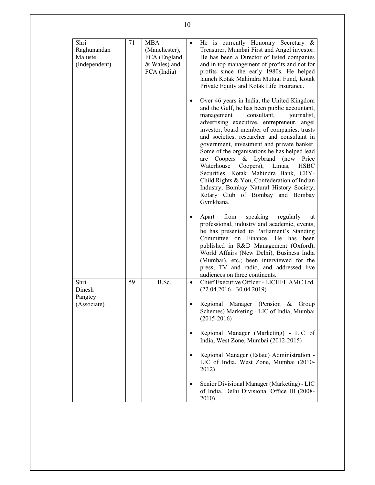| Shri              | 71 | <b>MBA</b>    | He is currently Honorary Secretary $\&$<br>$\bullet$                                                                                                                                                                                                                                                                                                                                                                                                                                                                                                                                                                    |
|-------------------|----|---------------|-------------------------------------------------------------------------------------------------------------------------------------------------------------------------------------------------------------------------------------------------------------------------------------------------------------------------------------------------------------------------------------------------------------------------------------------------------------------------------------------------------------------------------------------------------------------------------------------------------------------------|
| Raghunandan       |    | (Manchester), | Treasurer, Mumbai First and Angel investor.                                                                                                                                                                                                                                                                                                                                                                                                                                                                                                                                                                             |
| Maluste           |    | FCA (England  | He has been a Director of listed companies                                                                                                                                                                                                                                                                                                                                                                                                                                                                                                                                                                              |
| (Independent)     |    | & Wales) and  | and in top management of profits and not for                                                                                                                                                                                                                                                                                                                                                                                                                                                                                                                                                                            |
|                   |    | FCA (India)   | profits since the early 1980s. He helped                                                                                                                                                                                                                                                                                                                                                                                                                                                                                                                                                                                |
|                   |    |               | launch Kotak Mahindra Mutual Fund, Kotak                                                                                                                                                                                                                                                                                                                                                                                                                                                                                                                                                                                |
|                   |    |               | Private Equity and Kotak Life Insurance.                                                                                                                                                                                                                                                                                                                                                                                                                                                                                                                                                                                |
|                   |    |               | Over 46 years in India, the United Kingdom<br>and the Gulf, he has been public accountant,<br>consultant,<br>management<br>journalist,<br>advertising executive, entrepreneur, angel<br>investor, board member of companies, trusts<br>and societies, researcher and consultant in<br>government, investment and private banker.<br>Some of the organisations he has helped lead<br>& Lybrand (now<br>Coopers<br>Price<br>are<br>Waterhouse<br>Coopers),<br>Lintas,<br><b>HSBC</b><br>Securities, Kotak Mahindra Bank, CRY-<br>Child Rights & You, Confederation of Indian<br>Industry, Bombay Natural History Society, |
|                   |    |               | Rotary Club of Bombay and Bombay<br>Gymkhana.<br>from<br>speaking<br>regularly<br>Apart<br>at<br>professional, industry and academic, events,<br>he has presented to Parliament's Standing<br>Committee on Finance. He has been<br>published in R&D Management (Oxford),                                                                                                                                                                                                                                                                                                                                                |
| Shri              | 59 | B.Sc.         | World Affairs (New Delhi), Business India<br>(Mumbai), etc.; been interviewed for the<br>press, TV and radio, and addressed live<br>audiences on three continents.<br>Chief Executive Officer - LICHFL AMC Ltd.<br>$\bullet$                                                                                                                                                                                                                                                                                                                                                                                            |
| Dinesh<br>Pangtey |    |               | $(22.04.2016 - 30.04.2019)$                                                                                                                                                                                                                                                                                                                                                                                                                                                                                                                                                                                             |
| (Associate)       |    |               | Regional Manager (Pension & Group<br>Schemes) Marketing - LIC of India, Mumbai<br>$(2015 - 2016)$                                                                                                                                                                                                                                                                                                                                                                                                                                                                                                                       |
|                   |    |               | Regional Manager (Marketing) - LIC of<br>$\bullet$<br>India, West Zone, Mumbai (2012-2015)                                                                                                                                                                                                                                                                                                                                                                                                                                                                                                                              |
|                   |    |               | Regional Manager (Estate) Administration -<br>٠<br>LIC of India, West Zone, Mumbai (2010-<br>2012)                                                                                                                                                                                                                                                                                                                                                                                                                                                                                                                      |
|                   |    |               | Senior Divisional Manager (Marketing) - LIC<br>٠<br>of India, Delhi Divisional Office III (2008-<br>2010)                                                                                                                                                                                                                                                                                                                                                                                                                                                                                                               |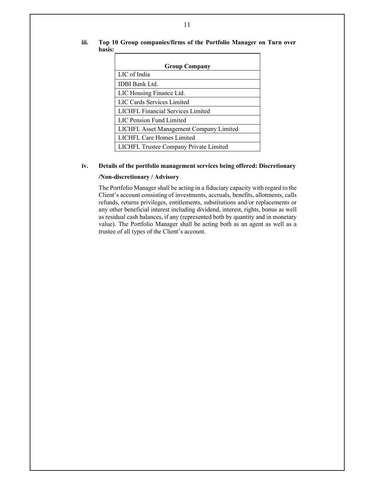- **Group Company**  LIC of India IDBI Bank Ltd. LIC Housing Finance Ltd. LIC Cards Services Limited LICHFL Financial Services Limited LIC Pension Fund Limited LICHFL Asset Management Company Limited LICHFL Care Homes Limited LICHFL Trustee Company Private Limited
- **iii. Top 10 Group companies/firms of the Portfolio Manager on Turn over basis:**

# **iv. Details of the portfolio management services being offered: Discretionary**

#### **/Non-discretionary / Advisory**

The Portfolio Manager shall be acting in a fiduciary capacity with regard to the Client's account consisting of investments, accruals, benefits, allotments, calls refunds, returns privileges, entitlements, substitutions and/or replacements or any other beneficial interest including dividend, interest, rights, bonus as well as residual cash balances, if any (represented both by quantity and in monetary value). The Portfolio Manager shall be acting both as an agent as well as a trustee of all types of the Client's account.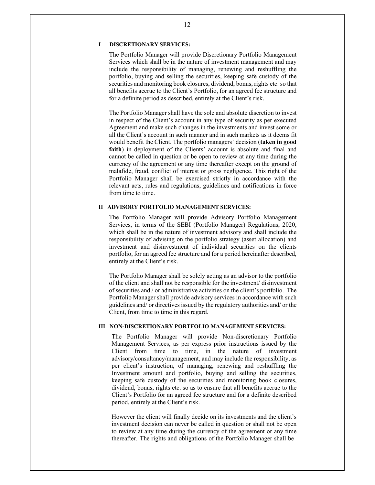#### **I DISCRETIONARY SERVICES:**

The Portfolio Manager will provide Discretionary Portfolio Management Services which shall be in the nature of investment management and may include the responsibility of managing, renewing and reshuffling the portfolio, buying and selling the securities, keeping safe custody of the securities and monitoring book closures, dividend, bonus, rights etc. so that all benefits accrue to the Client's Portfolio, for an agreed fee structure and for a definite period as described, entirely at the Client's risk.

The Portfolio Manager shall have the sole and absolute discretion to invest in respect of the Client's account in any type of security as per executed Agreement and make such changes in the investments and invest some or all the Client's account in such manner and in such markets as it deems fit would benefit the Client. The portfolio managers' decision (**taken in good faith**) in deployment of the Clients' account is absolute and final and cannot be called in question or be open to review at any time during the currency of the agreement or any time thereafter except on the ground of malafide, fraud, conflict of interest or gross negligence. This right of the Portfolio Manager shall be exercised strictly in accordance with the relevant acts, rules and regulations, guidelines and notifications in force from time to time.

#### **II ADVISORY PORTFOLIO MANAGEMENT SERVICES:**

The Portfolio Manager will provide Advisory Portfolio Management Services, in terms of the SEBI (Portfolio Manager) Regulations, 2020, which shall be in the nature of investment advisory and shall include the responsibility of advising on the portfolio strategy (asset allocation) and investment and disinvestment of individual securities on the clients portfolio, for an agreed fee structure and for a period hereinafter described, entirely at the Client's risk.

The Portfolio Manager shall be solely acting as an advisor to the portfolio of the client and shall not be responsible for the investment/ disinvestment of securities and / or administrative activities on the client's portfolio. The Portfolio Manager shall provide advisory services in accordance with such guidelines and/ or directives issued by the regulatory authorities and/ or the Client, from time to time in this regard.

#### **III NON-DISCRETIONARY PORTFOLIO MANAGEMENT SERVICES:**

The Portfolio Manager will provide Non-discretionary Portfolio Management Services, as per express prior instructions issued by the Client from time to time, in the nature of investment advisory/consultancy/management, and may include the responsibility, as per client's instruction, of managing, renewing and reshuffling the Investment amount and portfolio, buying and selling the securities, keeping safe custody of the securities and monitoring book closures, dividend, bonus, rights etc. so as to ensure that all benefits accrue to the Client's Portfolio for an agreed fee structure and for a definite described period, entirely at the Client's risk.

However the client will finally decide on its investments and the client's investment decision can never be called in question or shall not be open to review at any time during the currency of the agreement or any time thereafter. The rights and obligations of the Portfolio Manager shall be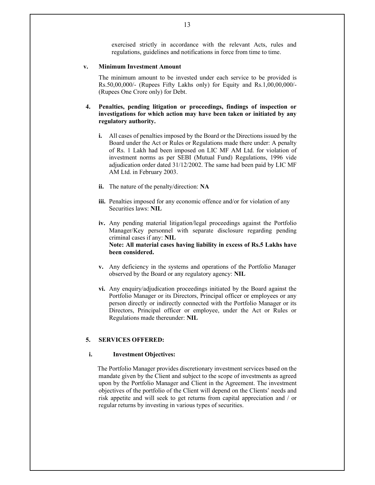exercised strictly in accordance with the relevant Acts, rules and regulations, guidelines and notifications in force from time to time.

#### **v. Minimum Investment Amount**

The minimum amount to be invested under each service to be provided is Rs.50,00,000/- (Rupees Fifty Lakhs only) for Equity and Rs.1,00,00,000/- (Rupees One Crore only) for Debt.

- **4. Penalties, pending litigation or proceedings, findings of inspection or investigations for which action may have been taken or initiated by any regulatory authority.** 
	- **i.** All cases of penalties imposed by the Board or the Directions issued by the Board under the Act or Rules or Regulations made there under: A penalty of Rs. 1 Lakh had been imposed on LIC MF AM Ltd. for violation of investment norms as per SEBI (Mutual Fund) Regulations, 1996 vide adjudication order dated 31/12/2002. The same had been paid by LIC MF AM Ltd. in February 2003.
	- **ii.** The nature of the penalty/direction: **NA**
	- **iii.** Penalties imposed for any economic offence and/or for violation of any Securities laws: **NIL**
	- **iv.** Any pending material litigation/legal proceedings against the Portfolio Manager/Key personnel with separate disclosure regarding pending criminal cases if any: **NIL Note: All material cases having liability in excess of Rs.5 Lakhs have been considered.**
	- **v.** Any deficiency in the systems and operations of the Portfolio Manager observed by the Board or any regulatory agency: **NIL**
	- **vi.** Any enquiry/adjudication proceedings initiated by the Board against the Portfolio Manager or its Directors, Principal officer or employees or any person directly or indirectly connected with the Portfolio Manager or its Directors, Principal officer or employee, under the Act or Rules or Regulations made thereunder: **NIL**

#### **5. SERVICES OFFERED:**

#### **i. Investment Objectives:**

The Portfolio Manager provides discretionary investment services based on the mandate given by the Client and subject to the scope of investments as agreed upon by the Portfolio Manager and Client in the Agreement. The investment objectives of the portfolio of the Client will depend on the Clients' needs and risk appetite and will seek to get returns from capital appreciation and / or regular returns by investing in various types of securities.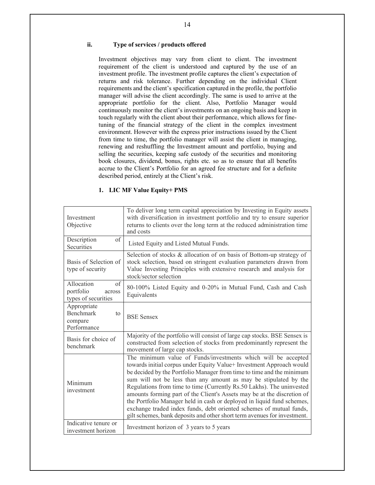# **ii. Type of services / products offered**

Investment objectives may vary from client to client. The investment requirement of the client is understood and captured by the use of an investment profile. The investment profile captures the client's expectation of returns and risk tolerance. Further depending on the individual Client requirements and the client's specification captured in the profile, the portfolio manager will advise the client accordingly. The same is used to arrive at the appropriate portfolio for the client. Also, Portfolio Manager would continuously monitor the client's investments on an ongoing basis and keep in touch regularly with the client about their performance, which allows for finetuning of the financial strategy of the client in the complex investment environment. However with the express prior instructions issued by the Client from time to time, the portfolio manager will assist the client in managing, renewing and reshuffling the Investment amount and portfolio, buying and selling the securities, keeping safe custody of the securities and monitoring book closures, dividend, bonus, rights etc. so as to ensure that all benefits accrue to the Client's Portfolio for an agreed fee structure and for a definite described period, entirely at the Client's risk.

### **1. LIC MF Value Equity+ PMS**

| Investment<br>Objective                                                | To deliver long term capital appreciation by Investing in Equity assets<br>with diversification in investment portfolio and try to ensure superior<br>returns to clients over the long term at the reduced administration time<br>and costs                                                                                                                                                                                                                                                                                                                                                                                                                         |
|------------------------------------------------------------------------|---------------------------------------------------------------------------------------------------------------------------------------------------------------------------------------------------------------------------------------------------------------------------------------------------------------------------------------------------------------------------------------------------------------------------------------------------------------------------------------------------------------------------------------------------------------------------------------------------------------------------------------------------------------------|
| Description<br>of<br>Securities                                        | Listed Equity and Listed Mutual Funds.                                                                                                                                                                                                                                                                                                                                                                                                                                                                                                                                                                                                                              |
| Basis of Selection of<br>type of security                              | Selection of stocks & allocation of on basis of Bottom-up strategy of<br>stock selection, based on stringent evaluation parameters drawn from<br>Value Investing Principles with extensive research and analysis for<br>stock/sector selection                                                                                                                                                                                                                                                                                                                                                                                                                      |
| Allocation<br>$\alpha$ f<br>portfolio<br>across<br>types of securities | 80-100% Listed Equity and 0-20% in Mutual Fund, Cash and Cash<br>Equivalents                                                                                                                                                                                                                                                                                                                                                                                                                                                                                                                                                                                        |
| Appropriate<br><b>Benchmark</b><br>to<br>compare<br>Performance        | <b>BSE Sensex</b>                                                                                                                                                                                                                                                                                                                                                                                                                                                                                                                                                                                                                                                   |
| Basis for choice of<br>benchmark                                       | Majority of the portfolio will consist of large cap stocks. BSE Sensex is<br>constructed from selection of stocks from predominantly represent the<br>movement of large cap stocks.                                                                                                                                                                                                                                                                                                                                                                                                                                                                                 |
| Minimum<br>investment                                                  | The minimum value of Funds/investments which will be accepted<br>towards initial corpus under Equity Value+ Investment Approach would<br>be decided by the Portfolio Manager from time to time and the minimum<br>sum will not be less than any amount as may be stipulated by the<br>Regulations from time to time (Currently Rs.50 Lakhs). The uninvested<br>amounts forming part of the Client's Assets may be at the discretion of<br>the Portfolio Manager held in cash or deployed in liquid fund schemes,<br>exchange traded index funds, debt oriented schemes of mutual funds,<br>gilt schemes, bank deposits and other short term avenues for investment. |
| Indicative tenure or<br>investment horizon                             | Investment horizon of 3 years to 5 years                                                                                                                                                                                                                                                                                                                                                                                                                                                                                                                                                                                                                            |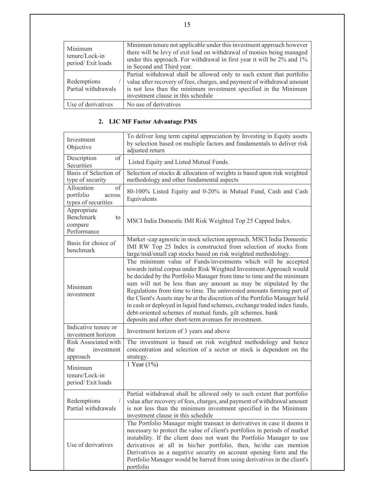| Minimum<br>tenure/Lock-in<br>period/Exit loads | Minimum tenure not applicable under this investment approach however<br>there will be levy of exit load on withdrawal of monies being managed<br>under this approach. For withdrawal in first year it will be 2% and 1%<br>in Second and Third year.        |
|------------------------------------------------|-------------------------------------------------------------------------------------------------------------------------------------------------------------------------------------------------------------------------------------------------------------|
| Redemptions<br>Partial withdrawals             | Partial withdrawal shall be allowed only to such extent that portfolio<br>value after recovery of fees, charges, and payment of withdrawal amount<br>is not less than the minimum investment specified in the Minimum<br>investment clause in this schedule |
| Use of derivatives                             | No use of derivatives                                                                                                                                                                                                                                       |

# **2. LIC MF Factor Advantage PMS**

| Investment<br>Objective                                         | To deliver long term capital appreciation by Investing in Equity assets<br>by selection based on multiple factors and fundamentals to deliver risk<br>adjusted return                                                                                                                                                                                                                                                                                                                                                                                                                                                                       |
|-----------------------------------------------------------------|---------------------------------------------------------------------------------------------------------------------------------------------------------------------------------------------------------------------------------------------------------------------------------------------------------------------------------------------------------------------------------------------------------------------------------------------------------------------------------------------------------------------------------------------------------------------------------------------------------------------------------------------|
| of<br>Description<br>Securities                                 | Listed Equity and Listed Mutual Funds.                                                                                                                                                                                                                                                                                                                                                                                                                                                                                                                                                                                                      |
| Basis of Selection of<br>type of security                       | Selection of stocks & allocation of weights is based upon risk weighted<br>methodology and other fundamental aspects                                                                                                                                                                                                                                                                                                                                                                                                                                                                                                                        |
| Allocation<br>of<br>portfolio<br>across<br>types of securities  | 80-100% Listed Equity and 0-20% in Mutual Fund, Cash and Cash<br>Equivalents                                                                                                                                                                                                                                                                                                                                                                                                                                                                                                                                                                |
| Appropriate<br><b>Benchmark</b><br>to<br>compare<br>Performance | MSCI India Domestic IMI Risk Weighted Top 25 Capped Index.                                                                                                                                                                                                                                                                                                                                                                                                                                                                                                                                                                                  |
| Basis for choice of<br>benchmark                                | Market-cap agnostic in stock selection approach. MSCI India Domestic<br>IMI RW Top 25 Index is constructed from selection of stocks from<br>large/mid/small cap stocks based on risk weighted methodology.                                                                                                                                                                                                                                                                                                                                                                                                                                  |
| Minimum<br>investment                                           | The minimum value of Funds/investments which will be accepted<br>towards initial corpus under Risk Weighted Investment Approach would<br>be decided by the Portfolio Manager from time to time and the minimum<br>sum will not be less than any amount as may be stipulated by the<br>Regulations from time to time. The uninvested amounts forming part of<br>the Client's Assets may be at the discretion of the Portfolio Manager held<br>in cash or deployed in liquid fund schemes, exchange traded index funds,<br>debt-oriented schemes of mutual funds, gilt schemes, bank<br>deposits and other short-term avenues for investment. |
| Indicative tenure or<br>investment horizon                      | Investment horizon of 3 years and above                                                                                                                                                                                                                                                                                                                                                                                                                                                                                                                                                                                                     |
| Risk Associated with<br>the<br>investment<br>approach           | The investment is based on risk weighted methodology and hence<br>concentration and selection of a sector or stock is dependent on the<br>strategy.                                                                                                                                                                                                                                                                                                                                                                                                                                                                                         |
| Minimum<br>tenure/Lock-in<br>period/Exit loads                  | 1 Year (1%)                                                                                                                                                                                                                                                                                                                                                                                                                                                                                                                                                                                                                                 |
| Redemptions<br>Partial withdrawals                              | Partial withdrawal shall be allowed only to such extent that portfolio<br>value after recovery of fees, charges, and payment of withdrawal amount<br>is not less than the minimum investment specified in the Minimum<br>investment clause in this schedule                                                                                                                                                                                                                                                                                                                                                                                 |
| Use of derivatives                                              | The Portfolio Manager might transact in derivatives in case it deems it<br>necessary to protect the value of client's portfolios in periods of market<br>instability. If the client does not want the Portfolio Manager to use<br>derivatives at all in his/her portfolio, then, he/she can mention<br>Derivatives as a negative security on account opening form and the<br>Portfolio Manager would be barred from using derivatives in the client's<br>portfolio                                                                                                                                                                          |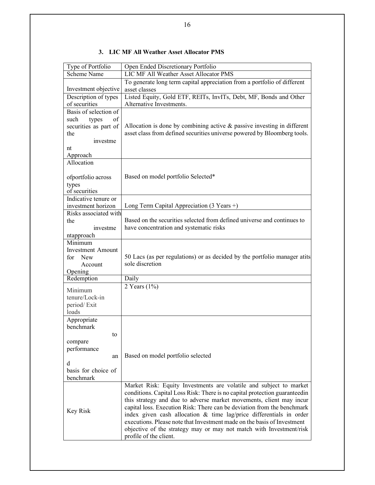| Type of Portfolio        | Open Ended Discretionary Portfolio                                                           |
|--------------------------|----------------------------------------------------------------------------------------------|
| <b>Scheme Name</b>       | <b>LIC MF All Weather Asset Allocator PMS</b>                                                |
|                          | To generate long term capital appreciation from a portfolio of different                     |
| Investment objective     | asset classes                                                                                |
| Description of types     | Listed Equity, Gold ETF, REITs, InvITs, Debt, MF, Bonds and Other                            |
| of securities            | Alternative Investments.                                                                     |
| Basis of selection of    |                                                                                              |
| of<br>such<br>types      |                                                                                              |
| securities as part of    | Allocation is done by combining active $\&$ passive investing in different                   |
| the                      | asset class from defined securities universe powered by Bloomberg tools.                     |
| investme                 |                                                                                              |
| nt                       |                                                                                              |
| Approach                 |                                                                                              |
| Allocation               |                                                                                              |
|                          |                                                                                              |
| ofportfolio across       | Based on model portfolio Selected*                                                           |
| types                    |                                                                                              |
| of securities            |                                                                                              |
| Indicative tenure or     |                                                                                              |
| investment horizon       | Long Term Capital Appreciation (3 Years +)                                                   |
| Risks associated with    | Based on the securities selected from defined universe and continues to                      |
| the                      |                                                                                              |
| investme                 | have concentration and systematic risks                                                      |
| ntapproach               |                                                                                              |
| Minimum                  |                                                                                              |
| <b>Investment Amount</b> |                                                                                              |
| <b>New</b><br>for        | 50 Lacs (as per regulations) or as decided by the portfolio manager atits<br>sole discretion |
| Account                  |                                                                                              |
| Opening                  |                                                                                              |
| Redemption               | Daily                                                                                        |
| Minimum                  | 2 Years $(1\%)$                                                                              |
| tenure/Lock-in           |                                                                                              |
| period/Exit              |                                                                                              |
| loads                    |                                                                                              |
| Appropriate              |                                                                                              |
| benchmark                |                                                                                              |
| to                       |                                                                                              |
| compare                  |                                                                                              |
| performance              |                                                                                              |
| an                       | Based on model portfolio selected                                                            |
| d                        |                                                                                              |
| basis for choice of      |                                                                                              |
| benchmark                |                                                                                              |
|                          | Market Risk: Equity Investments are volatile and subject to market                           |
|                          | conditions. Capital Loss Risk: There is no capital protection guaranteedin                   |
|                          | this strategy and due to adverse market movements, client may incur                          |
| Key Risk                 | capital loss. Execution Risk: There can be deviation from the benchmark                      |
|                          | index given cash allocation $\&$ time lag/price differentials in order                       |
|                          | executions. Please note that Investment made on the basis of Investment                      |
|                          | objective of the strategy may or may not match with Investment/risk                          |
|                          | profile of the client.                                                                       |

# **3. LIC MF All Weather Asset Allocator PMS**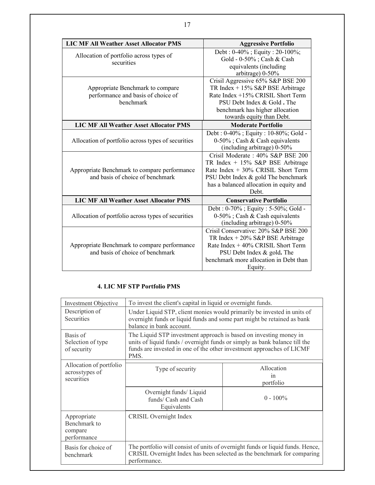| <b>LIC MF All Weather Asset Allocator PMS</b>      | <b>Aggressive Portfolio</b>                |
|----------------------------------------------------|--------------------------------------------|
| Allocation of portfolio across types of            | Debt: 0-40%; Equity: 20-100%;              |
| securities                                         | Gold - 0-50%; Cash & Cash                  |
|                                                    | equivalents (including                     |
|                                                    | arbitrage) 0-50%                           |
|                                                    | Crisil Aggressive 65% S&P BSE 200          |
| Appropriate Benchmark to compare                   | TR Index $+15\%$ S&P BSE Arbitrage         |
| performance and basis of choice of                 | Rate Index +15% CRISIL Short Term          |
| <b>benchmark</b>                                   | PSU Debt Index & Gold. The                 |
|                                                    | benchmark has higher allocation            |
|                                                    | towards equity than Debt.                  |
| <b>LIC MF All Weather Asset Allocator PMS</b>      | <b>Moderate Portfolio</b>                  |
|                                                    | Debt: 0-40%; Equity: 10-80%; Gold-         |
| Allocation of portfolio across types of securities | $0-50\%$ ; Cash & Cash equivalents         |
|                                                    | (including arbitrage) 0-50%                |
|                                                    | Crisil Moderate: 40% S&P BSE 200           |
|                                                    | TR Index $+ 15\%$ S&P BSE Arbitrage        |
| Appropriate Benchmark to compare performance       | Rate Index $+30\%$ CRISIL Short Term       |
| and basis of choice of benchmark                   | PSU Debt Index & gold The benchmark        |
|                                                    | has a balanced allocation in equity and    |
|                                                    | Debt.                                      |
| <b>LIC MF All Weather Asset Allocator PMS</b>      | <b>Conservative Portfolio</b>              |
|                                                    | Debt: $0-70\%$ ; Equity: $5-50\%$ ; Gold - |
| Allocation of portfolio across types of securities | $0-50\%$ ; Cash & Cash equivalents         |
|                                                    | (including arbitrage) 0-50%                |
|                                                    | Crisil Conservative: 20% S&P BSE 200       |
|                                                    | TR Index $+20\%$ S&P BSE Arbitrage         |
| Appropriate Benchmark to compare performance       | Rate Index $+40\%$ CRISIL Short Term       |
| and basis of choice of benchmark                   | PSU Debt Index & gold. The                 |
|                                                    | benchmark more allocation in Debt than     |
|                                                    | Equity.                                    |

# **4. LIC MF STP Portfolio PMS**

| Investment Objective                                  | To invest the client's capital in liquid or overnight funds.                                                                                                                                                                     |             |  |
|-------------------------------------------------------|----------------------------------------------------------------------------------------------------------------------------------------------------------------------------------------------------------------------------------|-------------|--|
| Description of<br><b>Securities</b>                   | Under Liquid STP, client monies would primarily be invested in units of<br>overnight funds or liquid funds and some part might be retained as bank<br>balance in bank account.                                                   |             |  |
| Basis of<br>Selection of type<br>of security          | The Liquid STP investment approach is based on investing money in<br>units of liquid funds / overnight funds or simply as bank balance till the<br>funds are invested in one of the other investment approaches of LICMF<br>PMS. |             |  |
| Allocation of portfolio                               | Type of security                                                                                                                                                                                                                 | Allocation  |  |
| acrosstypes of                                        |                                                                                                                                                                                                                                  | 1n          |  |
| securities                                            |                                                                                                                                                                                                                                  | portfolio   |  |
|                                                       | Overnight funds/ Liquid<br>funds/ Cash and Cash<br>Equivalents                                                                                                                                                                   | $0 - 100\%$ |  |
| Appropriate<br>Benchmark to<br>compare<br>performance | CRISIL Overnight Index                                                                                                                                                                                                           |             |  |
| Basis for choice of<br>benchmark                      | The portfolio will consist of units of overnight funds or liquid funds. Hence,<br>CRISIL Overnight Index has been selected as the benchmark for comparing<br>performance.                                                        |             |  |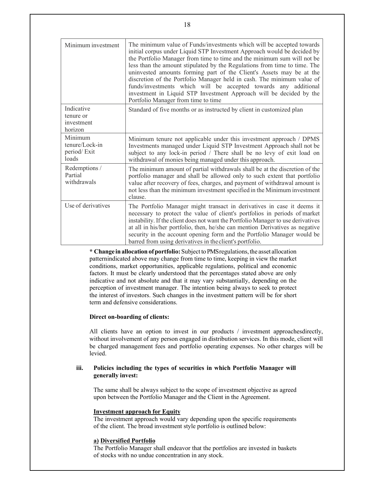| Minimum investment                                | The minimum value of Funds/investments which will be accepted towards<br>initial corpus under Liquid STP Investment Approach would be decided by<br>the Portfolio Manager from time to time and the minimum sum will not be<br>less than the amount stipulated by the Regulations from time to time. The<br>uninvested amounts forming part of the Client's Assets may be at the<br>discretion of the Portfolio Manager held in cash. The minimum value of<br>funds/investments which will be accepted towards any additional<br>investment in Liquid STP Investment Approach will be decided by the<br>Portfolio Manager from time to time |
|---------------------------------------------------|---------------------------------------------------------------------------------------------------------------------------------------------------------------------------------------------------------------------------------------------------------------------------------------------------------------------------------------------------------------------------------------------------------------------------------------------------------------------------------------------------------------------------------------------------------------------------------------------------------------------------------------------|
| Indicative<br>tenure or<br>investment<br>horizon  | Standard of five months or as instructed by client in customized plan                                                                                                                                                                                                                                                                                                                                                                                                                                                                                                                                                                       |
| Minimum<br>tenure/Lock-in<br>period/Exit<br>loads | Minimum tenure not applicable under this investment approach / DPMS<br>Investments managed under Liquid STP Investment Approach shall not be<br>subject to any lock-in period / There shall be no levy of exit load on<br>withdrawal of monies being managed under this approach.                                                                                                                                                                                                                                                                                                                                                           |
| Redemptions /<br>Partial<br>withdrawals           | The minimum amount of partial withdrawals shall be at the discretion of the<br>portfolio manager and shall be allowed only to such extent that portfolio<br>value after recovery of fees, charges, and payment of withdrawal amount is<br>not less than the minimum investment specified in the Minimum investment<br>clause.                                                                                                                                                                                                                                                                                                               |
| Use of derivatives                                | The Portfolio Manager might transact in derivatives in case it deems it<br>necessary to protect the value of client's portfolios in periods of market<br>instability. If the client does not want the Portfolio Manager to use derivatives<br>at all in his/her portfolio, then, he/she can mention Derivatives as negative<br>security in the account opening form and the Portfolio Manager would be<br>barred from using derivatives in the client's portfolio.                                                                                                                                                                          |

**\* Change in allocation of portfolio:** Subject to PMS regulations, the asset allocation pattern indicated above may change from time to time, keeping in view the market conditions, market opportunities, applicable regulations, political and economic factors. It must be clearly understood that the percentages stated above are only indicative and not absolute and that it may vary substantially, depending on the perception of investment manager. The intention being always to seek to protect the interest of investors. Such changes in the investment pattern will be for short term and defensive considerations.

# **Direct on-boarding of clients:**

All clients have an option to invest in our products / investment approaches directly, without involvement of any person engaged in distribution services. In this mode, client will be charged management fees and portfolio operating expenses. No other charges will be levied.

# **iii. Policies including the types of securities in which Portfolio Manager will generally invest:**

The same shall be always subject to the scope of investment objective as agreed upon between the Portfolio Manager and the Client in the Agreement.

#### **Investment approach for Equity**

The investment approach would vary depending upon the specific requirements of the client. The broad investment style portfolio is outlined below:

# **a) Diversified Portfolio**

The Portfolio Manager shall endeavor that the portfolios are invested in baskets of stocks with no undue concentration in any stock.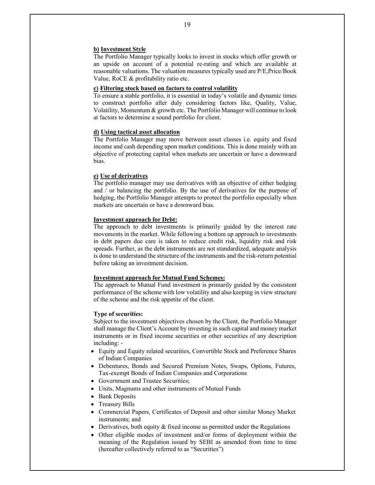#### **b) Investment Style**

The Portfolio Manager typically looks to invest in stocks which offer growth or an upside on account of a potential re-rating and which are available at reasonable valuations. The valuation measures typically used are P/E, Price/Book Value, RoCE & profitability ratio etc.

# **c) Filtering stock based on factors to control volatility**

To ensure a stable portfolio, it is essential in today's volatile and dynamic times to construct portfolio after duly considering factors like, Quality, Value, Volatility, Momentum & growth etc. The Portfolio Manager will continue to look at factors to determine a sound portfolio for client.

#### **d) Using tactical asset allocation**

The Portfolio Manager may move between asset classes i.e. equity and fixed income and cash depending upon market conditions. This is done mainly with an objective of protecting capital when markets are uncertain or have a downward bias.

# **e) Use of derivatives**

The portfolio manager may use derivatives with an objective of either hedging and / or balancing the portfolio. By the use of derivatives for the purpose of hedging, the Portfolio Manager attempts to protect the portfolio especially when markets are uncertain or have a downward bias.

#### **Investment approach for Debt:**

The approach to debt investments is primarily guided by the interest rate movements in the market. While following a bottom up approach to investments in debt papers due care is taken to reduce credit risk, liquidity risk and risk spreads. Further, as the debt instruments are not standardized, adequate analysis is done to understand the structure of the instruments and the risk-return potential before taking an investment decision.

#### **Investment approach for Mutual Fund Schemes:**

The approach to Mutual Fund investment is primarily guided by the consistent performance of the scheme with low volatility and also keeping in view structure of the scheme and the risk appetite of the client.

### **Type of securities:**

Subject to the investment objectives chosen by the Client, the Portfolio Manager shall manage the Client's Account by investing in such capital and money market instruments or in fixed income securities or other securities of any description including: -

- Equity and Equity related securities, Convertible Stock and Preference Shares of Indian Companies
- Debentures, Bonds and Secured Premium Notes, Swaps, Options, Futures, Tax-exempt Bonds of Indian Companies and Corporations
- Government and Trustee Securities;
- Units, Magnums and other instruments of Mutual Funds
- Bank Deposits
- Treasury Bills
- Commercial Papers, Certificates of Deposit and other similar Money Market instruments; and
- Derivatives, both equity & fixed income as permitted under the Regulations
- Other eligible modes of investment and/or forms of deployment within the meaning of the Regulation issued by SEBI as amended from time to time (hereafter collectively referred to as "Securities")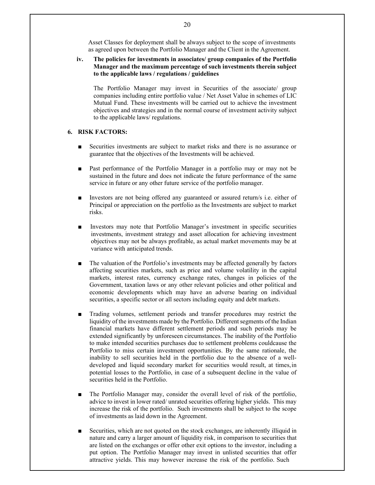Asset Classes for deployment shall be always subject to the scope of investments as agreed upon between the Portfolio Manager and the Client in the Agreement.

**iv. The policies for investments in associates/ group companies of the Portfolio Manager and the maximum percentage of such investments therein subject to the applicable laws / regulations / guidelines** 

The Portfolio Manager may invest in Securities of the associate/ group companies including entire portfolio value / Net Asset Value in schemes of LIC Mutual Fund. These investments will be carried out to achieve the investment objectives and strategies and in the normal course of investment activity subject to the applicable laws/ regulations.

# **6. RISK FACTORS:**

- Securities investments are subject to market risks and there is no assurance or guarantee that the objectives of the Investments will be achieved.
- Past performance of the Portfolio Manager in a portfolio may or may not be sustained in the future and does not indicate the future performance of the same service in future or any other future service of the portfolio manager.
- Investors are not being offered any guaranteed or assured return/s i.e. either of Principal or appreciation on the portfolio as the Investments are subject to market risks.
- Investors may note that Portfolio Manager's investment in specific securities investments, investment strategy and asset allocation for achieving investment objectives may not be always profitable, as actual market movements may be at variance with anticipated trends.
- The valuation of the Portfolio's investments may be affected generally by factors affecting securities markets, such as price and volume volatility in the capital markets, interest rates, currency exchange rates, changes in policies of the Government, taxation laws or any other relevant policies and other political and economic developments which may have an adverse bearing on individual securities, a specific sector or all sectors including equity and debt markets.
- Trading volumes, settlement periods and transfer procedures may restrict the liquidity of the investments made by the Portfolio. Different segments of the Indian financial markets have different settlement periods and such periods may be extended significantly by unforeseen circumstances. The inability of the Portfolio to make intended securities purchases due to settlement problems couldcause the Portfolio to miss certain investment opportunities. By the same rationale, the inability to sell securities held in the portfolio due to the absence of a welldeveloped and liquid secondary market for securities would result, at times, in potential losses to the Portfolio, in case of a subsequent decline in the value of securities held in the Portfolio.
- The Portfolio Manager may, consider the overall level of risk of the portfolio, advice to invest in lower rated/ unrated securities offering higher yields. This may increase the risk of the portfolio. Such investments shall be subject to the scope of investments as laid down in the Agreement.
- Securities, which are not quoted on the stock exchanges, are inherently illiquid in nature and carry a larger amount of liquidity risk, in comparison to securities that are listed on the exchanges or offer other exit options to the investor, including a put option. The Portfolio Manager may invest in unlisted securities that offer attractive yields. This may however increase the risk of the portfolio. Such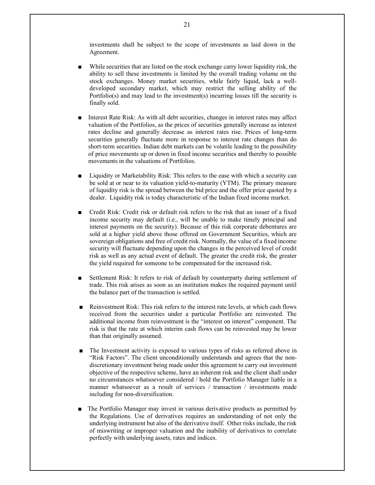investments shall be subject to the scope of investments as laid down in the Agreement.

- While securities that are listed on the stock exchange carry lower liquidity risk, the ability to sell these investments is limited by the overall trading volume on the stock exchanges. Money market securities, while fairly liquid, lack a welldeveloped secondary market, which may restrict the selling ability of the Portfolio(s) and may lead to the investment(s) incurring losses till the security is finally sold.
- Interest Rate Risk: As with all debt securities, changes in interest rates may affect valuation of the Portfolios, as the prices of securities generally increase as interest rates decline and generally decrease as interest rates rise. Prices of long-term securities generally fluctuate more in response to interest rate changes than do short-term securities. Indian debt markets can be volatile leading to the possibility of price movements up or down in fixed income securities and thereby to possible movements in the valuations of Portfolios.
- Liquidity or Marketability Risk: This refers to the ease with which a security can be sold at or near to its valuation yield-to-maturity (YTM). The primary measure of liquidity risk is the spread between the bid price and the offer price quoted by a dealer. Liquidity risk is today characteristic of the Indian fixed income market.
- Credit Risk: Credit risk or default risk refers to the risk that an issuer of a fixed income security may default (i.e., will be unable to make timely principal and interest payments on the security). Because of this risk corporate debentures are sold at a higher yield above those offered on Government Securities, which are sovereign obligations and free of credit risk. Normally, the value of a fixed income security will fluctuate depending upon the changes in the perceived level of credit risk as well as any actual event of default. The greater the credit risk, the greater the yield required for someone to be compensated for the increased risk.
- Settlement Risk: It refers to risk of default by counterparty during settlement of trade. This risk arises as soon as an institution makes the required payment until the balance part of the transaction is settled.
- Reinvestment Risk: This risk refers to the interest rate levels, at which cash flows received from the securities under a particular Portfolio are reinvested. The additional income from reinvestment is the "interest on interest" component. The risk is that the rate at which interim cash flows can be reinvested may be lower than that originally assumed.
- The Investment activity is exposed to various types of risks as referred above in "Risk Factors". The client unconditionally understands and agrees that the nondiscretionary investment being made under this agreement to carry out investment objective of the respective scheme, have an inherent risk and the client shall under no circumstances whatsoever considered / hold the Portfolio Manager liable in a manner whatsoever as a result of services / transaction / investments made including for non-diversification.
- The Portfolio Manager may invest in various derivative products as permitted by the Regulations. Use of derivatives requires an understanding of not only the underlying instrument but also of the derivative itself. Other risks include, the risk of miswriting or improper valuation and the inability of derivatives to correlate perfectly with underlying assets, rates and indices.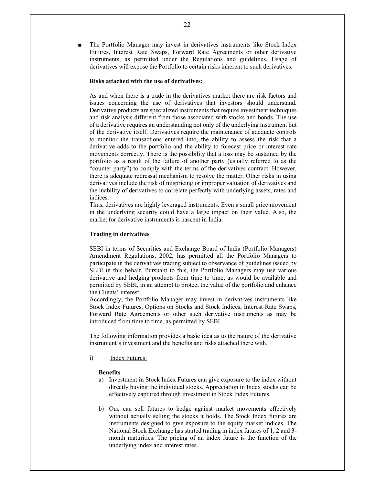The Portfolio Manager may invest in derivatives instruments like Stock Index Futures, Interest Rate Swaps, Forward Rate Agreements or other derivative instruments, as permitted under the Regulations and guidelines. Usage of derivatives will expose the Portfolio to certain risks inherent to such derivatives.

### **Risks attached with the use of derivatives:**

As and when there is a trade in the derivatives market there are risk factors and issues concerning the use of derivatives that investors should understand. Derivative products are specialized instruments that require investment techniques and risk analysis different from those associated with stocks and bonds. The use of a derivative requires an understanding not only of the underlying instrument but of the derivative itself. Derivatives require the maintenance of adequate controls to monitor the transactions entered into, the ability to assess the risk that a derivative adds to the portfolio and the ability to forecast price or interest rate movements correctly. There is the possibility that a loss may be sustained by the portfolio as a result of the failure of another party (usually referred to as the "counter party") to comply with the terms of the derivatives contract. However, there is adequate redressal mechanism to resolve the matter. Other risks in using derivatives include the risk of mispricing or improper valuation of derivatives and the inability of derivatives to correlate perfectly with underlying assets, rates and indices.

Thus, derivatives are highly leveraged instruments. Even a small price movement in the underlying security could have a large impact on their value. Also, the market for derivative instruments is nascent in India.

#### **Trading in derivatives**

SEBI in terms of Securities and Exchange Board of India (Portfolio Managers) Amendment Regulations, 2002, has permitted all the Portfolio Managers to participate in the derivatives trading subject to observance of guidelines issued by SEBI in this behalf. Pursuant to this, the Portfolio Managers may use various derivative and hedging products from time to time, as would be available and permitted by SEBI, in an attempt to protect the value of the portfolio and enhance the Clients' interest.

Accordingly, the Portfolio Manager may invest in derivatives instruments like Stock Index Futures, Options on Stocks and Stock Indices, Interest Rate Swaps, Forward Rate Agreements or other such derivative instruments as may be introduced from time to time, as permitted by SEBI.

The following information provides a basic idea as to the nature of the derivative instrument's investment and the benefits and risks attached there with.

i) Index Futures:

#### **Benefits**

- a) Investment in Stock Index Futures can give exposure to the index without directly buying the individual stocks. Appreciation in Index stocks can be effectively captured through investment in Stock Index Futures.
- b) One can sell futures to hedge against market movements effectively without actually selling the stocks it holds. The Stock Index futures are instruments designed to give exposure to the equity market indices. The National Stock Exchange has started trading in index futures of 1, 2 and 3 month maturities. The pricing of an index future is the function of the underlying index and interest rates.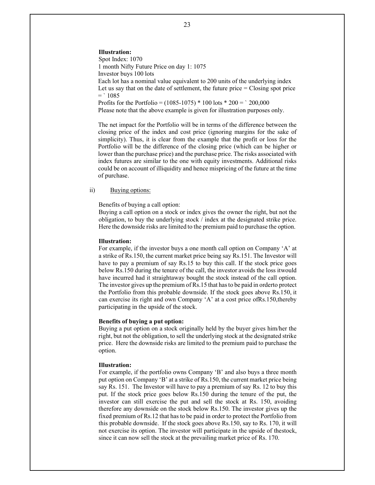**Illustration:**  Spot Index: 1070 1 month Nifty Future Price on day 1: 1075 Investor buys 100 lots Each lot has a nominal value equivalent to 200 units of the underlying index Let us say that on the date of settlement, the future price = Closing spot price  $=$  ` 1085 Profits for the Portfolio =  $(1085-1075) * 100$  lots  $* 200 = '200,000$ Please note that the above example is given for illustration purposes only.

The net impact for the Portfolio will be in terms of the difference between the closing price of the index and cost price (ignoring margins for the sake of simplicity). Thus, it is clear from the example that the profit or loss for the Portfolio will be the difference of the closing price (which can be higher or lower than the purchase price) and the purchase price. The risks associated with index futures are similar to the one with equity investments. Additional risks could be on account of illiquidity and hence mispricing of the future at the time of purchase.

#### ii) Buying options:

Benefits of buying a call option:

Buying a call option on a stock or index gives the owner the right, but not the obligation, to buy the underlying stock / index at the designated strike price. Here the downside risks are limited to the premium paid to purchase the option.

#### **Illustration:**

For example, if the investor buys a one month call option on Company 'A' at a strike of Rs.150, the current market price being say Rs.151. The Investor will have to pay a premium of say Rs.15 to buy this call. If the stock price goes below Rs.150 during the tenure of the call, the investor avoids the loss it would have incurred had it straightaway bought the stock instead of the call option. The investor gives up the premium of Rs.15 that has to be paid in order to protect the Portfolio from this probable downside. If the stock goes above Rs.150, it can exercise its right and own Company 'A' at a cost price ofRs.150, thereby participating in the upside of the stock.

#### **Benefits of buying a put option:**

Buying a put option on a stock originally held by the buyer gives him/her the right, but not the obligation, to sell the underlying stock at the designated strike price. Here the downside risks are limited to the premium paid to purchase the option.

#### **Illustration:**

For example, if the portfolio owns Company 'B' and also buys a three month put option on Company 'B' at a strike of Rs.150, the current market price being say Rs. 151. The Investor will have to pay a premium of say Rs. 12 to buy this put. If the stock price goes below Rs.150 during the tenure of the put, the investor can still exercise the put and sell the stock at Rs. 150, avoiding therefore any downside on the stock below Rs.150. The investor gives up the fixed premium of Rs.12 that has to be paid in order to protect the Portfolio from this probable downside. If the stock goes above Rs.150, say to Rs. 170, it will not exercise its option. The investor will participate in the upside of the stock, since it can now sell the stock at the prevailing market price of Rs. 170.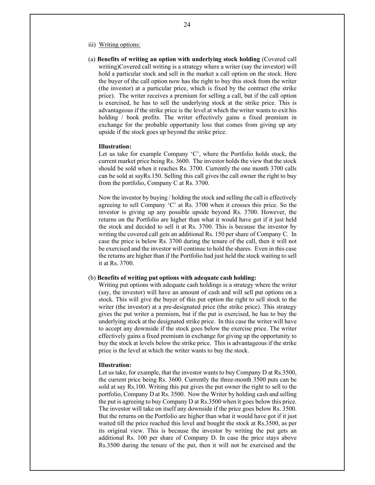- iii) Writing options:
- (a) **Benefits of writing an option with underlying stock holding** (Covered call writing)Covered call writing is a strategy where a writer (say the investor) will hold a particular stock and sell in the market a call option on the stock. Here the buyer of the call option now has the right to buy this stock from the writer (the investor) at a particular price, which is fixed by the contract (the strike price). The writer receives a premium for selling a call, but if the call option is exercised, he has to sell the underlying stock at the strike price. This is advantageous if the strike price is the level at which the writer wants to exit his holding / book profits. The writer effectively gains a fixed premium in exchange for the probable opportunity loss that comes from giving up any upside if the stock goes up beyond the strike price.

#### **Illustration:**

Let us take for example Company 'C', where the Portfolio holds stock, the current market price being Rs. 3600. The investor holds the view that the stock should be sold when it reaches Rs. 3700. Currently the one month 3700 calls can be sold at sayRs.150. Selling this call gives the call owner the right to buy from the portfolio, Company C at Rs. 3700.

Now the investor by buying / holding the stock and selling the call is effectively agreeing to sell Company 'C' at Rs. 3700 when it crosses this price. So the investor is giving up any possible upside beyond Rs. 3700. However, the returns on the Portfolio are higher than what it would have got if it just held the stock and decided to sell it at Rs. 3700. This is because the investor by writing the covered call gets an additional Rs. 150 per share of Company C. In case the price is below Rs. 3700 during the tenure of the call, then it will not be exercised and the investor will continue to hold the shares. Even in this case the returns are higher than if the Portfolio had just held the stock waiting to sell it at Rs. 3700.

#### (b) **Benefits of writing put options with adequate cash holding:**

Writing put options with adequate cash holdings is a strategy where the writer (say, the investor) will have an amount of cash and will sell put options on a stock. This will give the buyer of this put option the right to sell stock to the writer (the investor) at a pre-designated price (the strike price). This strategy gives the put writer a premium, but if the put is exercised, he has to buy the underlying stock at the designated strike price. In this case the writer will have to accept any downside if the stock goes below the exercise price. The writer effectively gains a fixed premium in exchange for giving up the opportunity to buy the stock at levels below the strike price. This is advantageous if the strike price is the level at which the writer wants to buy the stock.

#### **Illustration:**

Let us take, for example, that the investor wants to buy Company D at Rs.3500, the current price being Rs. 3600. Currently the three-month 3500 puts can be sold at say Rs.100. Writing this put gives the put owner the right to sell to the portfolio, Company D at Rs. 3500. Now the Writer by holding cash and selling the put is agreeing to buy Company D at Rs.3500 when it goes below this price. The investor will take on itself any downside if the price goes below Rs. 3500. But the returns on the Portfolio are higher than what it would have got if it just waited till the price reached this level and bought the stock at Rs.3500, as per its original view. This is because the investor by writing the put gets an additional Rs. 100 per share of Company D. In case the price stays above Rs.3500 during the tenure of the put, then it will not be exercised and the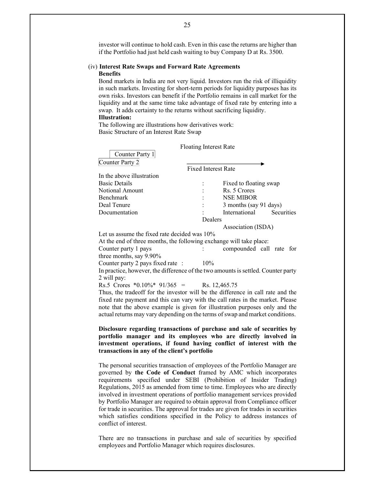investor will continue to hold cash. Even in this case the returns are higher than if the Portfolio had just held cash waiting to buy Company D at Rs. 3500.

#### (iv) **Interest Rate Swaps and Forward Rate Agreements Benefits**

Bond markets in India are not very liquid. Investors run the risk of illiquidity in such markets. Investing for short-term periods for liquidity purposes has its own risks. Investors can benefit if the Portfolio remains in call market for the liquidity and at the same time take advantage of fixed rate by entering into a swap. It adds certainty to the returns without sacrificing liquidity. **Illustration:** 

The following are illustrations how derivatives work: Basic Structure of an Interest Rate Swap

|                                                                                   | <b>Floating Interest Rate</b> |                          |                   |
|-----------------------------------------------------------------------------------|-------------------------------|--------------------------|-------------------|
| Counter Party 1                                                                   |                               |                          |                   |
| Counter Party 2                                                                   |                               |                          |                   |
|                                                                                   | <b>Fixed Interest Rate</b>    |                          |                   |
| In the above illustration                                                         |                               |                          |                   |
| <b>Basic Details</b>                                                              |                               | Fixed to floating swap   |                   |
| Notional Amount                                                                   |                               | Rs. 5 Crores             |                   |
| Benchmark                                                                         |                               | <b>NSE MIBOR</b>         |                   |
| Deal Tenure                                                                       |                               | 3 months (say 91 days)   |                   |
| Documentation                                                                     |                               | International            | <b>Securities</b> |
|                                                                                   | Dealers                       |                          |                   |
|                                                                                   |                               | Association (ISDA)       |                   |
| Let us assume the fixed rate decided was $10\%$                                   |                               |                          |                   |
| At the end of three months, the following exchange will take place:               |                               |                          |                   |
| Counter party 1 pays                                                              |                               | compounded call rate for |                   |
| three months, say 9.90%                                                           |                               |                          |                   |
| Counter party 2 pays fixed rate :                                                 | $10\%$                        |                          |                   |
| In practice, however, the difference of the two amounts is settled. Counter party |                               |                          |                   |
| 2 will pay:                                                                       |                               |                          |                   |
| Rs.5 Crores *0.10%* $91/365$ = Rs. 12,465.75                                      |                               |                          |                   |
| Thus, the tradeoff for the investor will be the difference in call rate and the   |                               |                          |                   |
| fixed rate payment and this can vary with the call rates in the market. Please    |                               |                          |                   |
| note that the above example is given for illustration purposes only and the       |                               |                          |                   |
| actual returns may vary depending on the terms of swap and market conditions.     |                               |                          |                   |
|                                                                                   |                               |                          |                   |
| Disclosure regarding transactions of purchase and sale of securities by           |                               |                          |                   |
| portfolio manager and its employees who are directly involved in                  |                               |                          |                   |
| investment operations, if found having conflict of interest with the              |                               |                          |                   |
| transactions in any of the client's portfolio                                     |                               |                          |                   |
|                                                                                   |                               |                          |                   |
| The personal securities transaction of employees of the Portfolio Manager are     |                               |                          |                   |

governed by **the Code of Conduct** framed by AMC which incorporates requirements specified under SEBI (Prohibition of Insider Trading) Regulations, 2015 as amended from time to time. Employees who are directly involved in investment operations of portfolio management services provided by Portfolio Manager are required to obtain approval from Compliance officer for trade in securities. The approval for trades are given for trades in securities which satisfies conditions specified in the Policy to address instances of conflict of interest.

There are no transactions in purchase and sale of securities by specified employees and Portfolio Manager which requires disclosures.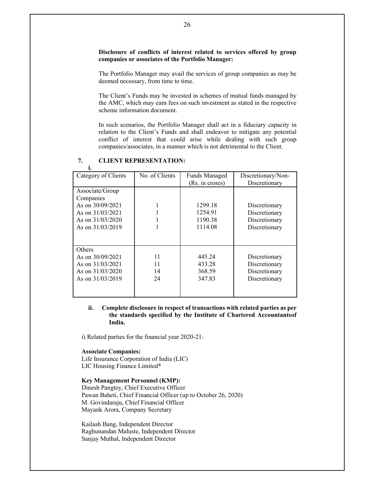# **Disclosure of conflicts of interest related to services offered by group companies or associates of the Portfolio Manager:**

The Portfolio Manager may avail the services of group companies as may be deemed necessary, from time to time.

The Client's Funds may be invested in schemes of mutual funds managed by the AMC, which may earn fees on such investment as stated in the respective scheme information document.

In such scenarios, the Portfolio Manager shall act in a fiduciary capacity in relation to the Client's Funds and shall endeavor to mitigate any potential conflict of interest that could arise while dealing with such group companies/associates, in a manner which is not detrimental to the Client.

| Category of Clients | No. of Clients | <b>Funds Managed</b> | Discretionary/Non- |
|---------------------|----------------|----------------------|--------------------|
|                     |                | (Rs. in crores)      | Discretionary      |
| Associate/Group     |                |                      |                    |
| Companies           |                |                      |                    |
| As on $30/09/2021$  |                | 1299.18              | Discretionary      |
| As on $31/03/2021$  |                | 1254.91              | Discretionary      |
| As on $31/03/2020$  |                | 1190.38              | Discretionary      |
| As on $31/03/2019$  |                | 1114.08              | Discretionary      |
|                     |                |                      |                    |
|                     |                |                      |                    |
| Others              |                |                      |                    |
| As on $30/09/2021$  | 11             | 445.24               | Discretionary      |
| As on $31/03/2021$  | 11             | 433.28               | Discretionary      |
| As on $31/03/2020$  | 14             | 368.59               | Discretionary      |
| As on $31/03/2019$  | 24             | 347.83               | Discretionary      |
|                     |                |                      |                    |
|                     |                |                      |                    |

#### **7. CLIENT REPRESENTATION: i.**

# **ii. Complete disclosure in respect of transactions with related parties as per the standards specified by the Institute of Chartered Accountants of India.**

i) Related parties for the financial year 2020-21:

### **Associate Companies:**

Life Insurance Corporation of India (LIC) LIC Housing Finance Limited\*

### **Key Management Personnel (KMP):**

Dinesh Pangtey, Chief Executive Officer Pawan Baheti, Chief Financial Officer (up to October 26, 2020) M. Govindaraju, Chief Financial Officer Mayank Arora, Company Secretary

Kailash Bang, Independent Director Raghunandan Maluste, Independent Director Sanjay Muthal, Independent Director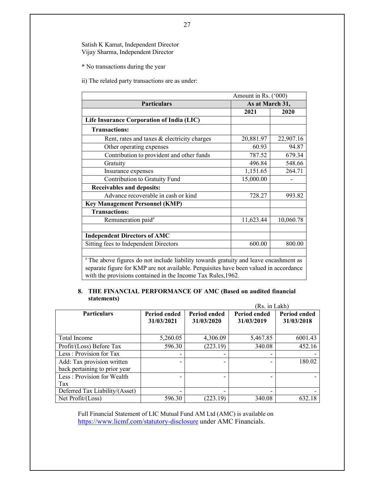# Satish K Kamat, Independent Director Vijay Sharma, Independent Director

\* No transactions during the year

ii) The related party transactions are as under:

| Amount in Rs. ('000)                                                                                                                                                                                                                          |                 |           |  |
|-----------------------------------------------------------------------------------------------------------------------------------------------------------------------------------------------------------------------------------------------|-----------------|-----------|--|
| <b>Particulars</b>                                                                                                                                                                                                                            | As at March 31, |           |  |
|                                                                                                                                                                                                                                               | 2021            | 2020      |  |
| Life Insurance Corporation of India (LIC)                                                                                                                                                                                                     |                 |           |  |
| <b>Transactions:</b>                                                                                                                                                                                                                          |                 |           |  |
| Rent, rates and taxes & electricity charges                                                                                                                                                                                                   | 20,881.97       | 22,907.16 |  |
| Other operating expenses                                                                                                                                                                                                                      | 60.93           | 94.87     |  |
| Contribution to provident and other funds                                                                                                                                                                                                     | 787.52          | 679.34    |  |
| Gratuity                                                                                                                                                                                                                                      | 496.84          | 548.66    |  |
| Insurance expenses                                                                                                                                                                                                                            | 1,151.65        | 264.71    |  |
| Contribution to Gratuity Fund                                                                                                                                                                                                                 | 15,000.00       |           |  |
| Receivables and deposits:                                                                                                                                                                                                                     |                 |           |  |
| Advance recoverable in cash or kind                                                                                                                                                                                                           | 728.27          | 993.82    |  |
| <b>Key Management Personnel (KMP)</b>                                                                                                                                                                                                         |                 |           |  |
| <b>Transactions:</b>                                                                                                                                                                                                                          |                 |           |  |
| Remuneration paid <sup>#</sup>                                                                                                                                                                                                                | 11,623.44       | 10,060.78 |  |
|                                                                                                                                                                                                                                               |                 |           |  |
| <b>Independent Directors of AMC</b>                                                                                                                                                                                                           |                 |           |  |
| Sitting fees to Independent Directors                                                                                                                                                                                                         | 600.00          | 800.00    |  |
|                                                                                                                                                                                                                                               |                 |           |  |
| #The above figures do not include liability towards gratuity and leave encashment as<br>separate figure for KMP are not available. Perquisites have been valued in accordance<br>with the provisions contained in the Income Tax Rules, 1962. |                 |           |  |

#### **8. THE FINANCIAL PERFORMANCE OF AMC (Based on audited financial statements)**   $(D<sub>s</sub> - in L<sub>0</sub>1/h)$

|                                                             |                            |                                   | (Rs. 1n Lakh)                     |                            |
|-------------------------------------------------------------|----------------------------|-----------------------------------|-----------------------------------|----------------------------|
| <b>Particulars</b>                                          | Period ended<br>31/03/2021 | <b>Period ended</b><br>31/03/2020 | <b>Period ended</b><br>31/03/2019 | Period ended<br>31/03/2018 |
| Total Income                                                | 5,260.05                   | 4,306.09                          | 5,467.85                          | 6001.43                    |
| Profit/(Loss) Before Tax                                    | 596.30                     | (223.19)                          | 340.08                            | 452.16                     |
| Less: Provision for Tax                                     |                            |                                   |                                   |                            |
| Add: Tax provision written<br>back pertaining to prior year |                            |                                   |                                   | 180.02                     |
| Less: Provision for Wealth                                  |                            |                                   |                                   |                            |
| Tax                                                         |                            |                                   |                                   |                            |
| Deferred Tax Liability/(Asset)                              |                            |                                   |                                   |                            |
| Net Profit/(Loss)                                           | 596.30                     | (223.19)                          | 340.08                            | 632.18                     |

Full Financial Statement of LIC Mutual Fund AM Ltd (AMC) is available on https://www.licmf.com/statutory-disclosure under AMC Financials.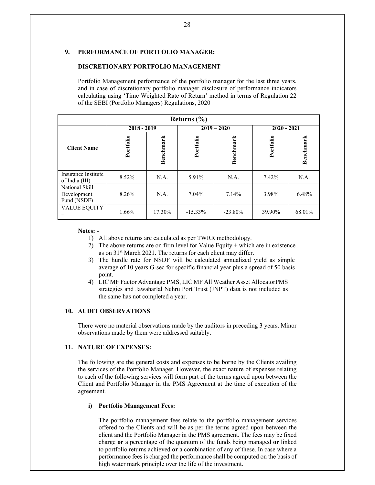# **9. PERFORMANCE OF PORTFOLIO MANAGER:**

#### **DISCRETIONARY PORTFOLIO MANAGEMENT**

Portfolio Management performance of the portfolio manager for the last three years, and in case of discretionary portfolio manager disclosure of performance indicators calculating using 'Time Weighted Rate of Return' method in terms of Regulation 22 of the SEBI (Portfolio Managers) Regulations, 2020

|                                              | Returns $(\% )$ |           |            |               |           |               |  |
|----------------------------------------------|-----------------|-----------|------------|---------------|-----------|---------------|--|
|                                              | $2018 - 2019$   |           |            | $2019 - 2020$ |           | $2020 - 2021$ |  |
| <b>Client Name</b>                           | Portfolio       | Benchmark | Portfolio  | Benchmark     | Portfolio | Benchmark     |  |
| Insurance Institute<br>of India (III)        | 8.52%           | N.A.      | 5.91%      | N.A.          | 7.42%     | N.A.          |  |
| National Skill<br>Development<br>Fund (NSDF) | 8.26%           | N.A.      | 7.04%      | 7.14%         | 3.98%     | 6.48%         |  |
| VALUE EQUITY<br>$^+$                         | 1.66%           | 17.30%    | $-15.33\%$ | $-23.80\%$    | 39.90%    | 68.01%        |  |

#### **Notes: -**

- 1) All above returns are calculated as per TWRR methodology.
- 2) The above returns are on firm level for Value Equity  $+$  which are in existence as on 31<sup>st</sup> March 2021. The returns for each client may differ.
- 3) The hurdle rate for NSDF will be calculated annualized yield as simple average of 10 years G-sec for specific financial year plus a spread of 50 basis point.
- 4) LIC MF Factor Advantage PMS, LIC MF All Weather Asset Allocator PMS strategies and Jawaharlal Nehru Port Trust (JNPT) data is not included as the same has not completed a year.

# **10. AUDIT OBSERVATIONS**

There were no material observations made by the auditors in preceding 3 years. Minor observations made by them were addressed suitably.

# **11. NATURE OF EXPENSES:**

The following are the general costs and expenses to be borne by the Clients availing the services of the Portfolio Manager. However, the exact nature of expenses relating to each of the following services will form part of the terms agreed upon between the Client and Portfolio Manager in the PMS Agreement at the time of execution of the agreement.

#### **i) Portfolio Management Fees:**

The portfolio management fees relate to the portfolio management services offered to the Clients and will be as per the terms agreed upon between the client and the Portfolio Manager in the PMS agreement. The fees may be fixed charge **or** a percentage of the quantum of the funds being managed **or** linked to portfolio returns achieved **or** a combination of any of these. In case where a performance fees is charged the performance shall be computed on the basis of high water mark principle over the life of the investment.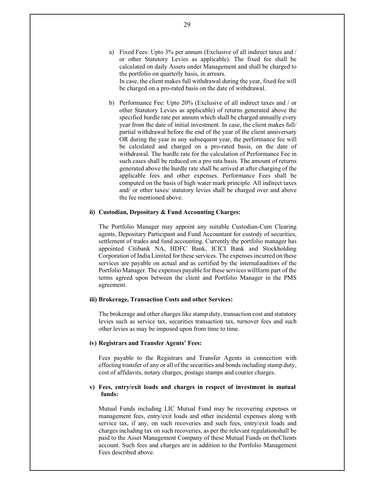a) Fixed Fees: Upto 3% per annum (Exclusive of all indirect taxes and / or other Statutory Levies as applicable). The fixed fee shall be calculated on daily Assets under Management and shall be charged to the portfolio on quarterly basis, in arrears. In case, the client makes full withdrawal during the year, fixed fee will

be charged on a pro-rated basis on the date of withdrawal.

b) Performance Fee: Upto 20% (Exclusive of all indirect taxes and / or other Statutory Levies as applicable) of returns generated above the specified hurdle rate per annum which shall be charged annually every year from the date of initial investment. In case, the client makes full/ partial withdrawal before the end of the year of the client anniversary OR during the year in any subsequent year, the performance fee will be calculated and charged on a pro-rated basis, on the date of withdrawal. The hurdle rate for the calculation of Performance Fee in such cases shall be reduced on a pro rata basis. The amount of returns generated above the hurdle rate shall be arrived at after charging of the applicable fees and other expenses. Performance Fees shall be computed on the basis of high water mark principle. All indirect taxes and/ or other taxes/ statutory levies shall be charged over and above the fee mentioned above.

# **ii) Custodian, Depositary & Fund Accounting Charges:**

The Portfolio Manager may appoint any suitable Custodian-Cum Clearing agents, Depositary Participant and Fund Accountant for custody of securities, settlement of trades and fund accounting. Currently the portfolio manager has appointed Citibank NA, HDFC Bank, ICICI Bank and Stockholding Corporation of India Limited for these services. The expenses incurred on these services are payable on actual and as certified by the internal auditors of the Portfolio Manager. The expenses payable for these services will form part of the terms agreed upon between the client and Portfolio Manager in the PMS agreement.

### **iii) Brokerage, Transaction Costs and other Services:**

The brokerage and other charges like stamp duty, transaction cost and statutory levies such as service tax, securities transaction tax, turnover fees and such other levies as may be imposed upon from time to time.

### **iv) Registrars and Transfer Agents' Fees:**

Fees payable to the Registrars and Transfer Agents in connection with effecting transfer of any or all of the securities and bonds including stamp duty, cost of affidavits, notary charges, postage stamps and courier charges.

# **v) Fees, entry/exit loads and charges in respect of investment in mutual funds:**

Mutual Funds including LIC Mutual Fund may be recovering expenses or management fees, entry/exit loads and other incidental expenses along with service tax, if any, on such recoveries and such fees, entry/exit loads and charges including tax on such recoveries, as per the relevant regulation shall be paid to the Asset Management Company of these Mutual Funds on the Clients account. Such fees and charges are in addition to the Portfolio Management Fees described above.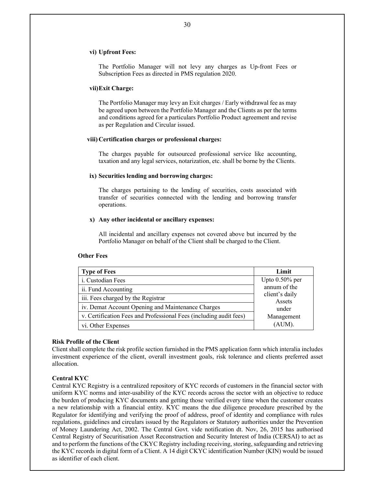#### **vi) Upfront Fees:**

The Portfolio Manager will not levy any charges as Up-front Fees or Subscription Fees as directed in PMS regulation 2020.

#### **vii)Exit Charge:**

The Portfolio Manager may levy an Exit charges / Early withdrawal fee as may be agreed upon between the Portfolio Manager and the Clients as per the terms and conditions agreed for a particulars Portfolio Product agreement and revise as per Regulation and Circular issued.

#### **viii) Certification charges or professional charges:**

The charges payable for outsourced professional service like accounting, taxation and any legal services, notarization, etc. shall be borne by the Clients.

#### **ix) Securities lending and borrowing charges:**

The charges pertaining to the lending of securities, costs associated with transfer of securities connected with the lending and borrowing transfer operations.

#### **x) Any other incidental or ancillary expenses:**

All incidental and ancillary expenses not covered above but incurred by the Portfolio Manager on behalf of the Client shall be charged to the Client.

#### **Other Fees**

| <b>Type of Fees</b>                                                | Limit                    |
|--------------------------------------------------------------------|--------------------------|
| i. Custodian Fees                                                  | Upto $0.50\%$ per        |
| ii. Fund Accounting                                                | annum of the             |
| iii. Fees charged by the Registrar                                 | client's daily<br>Assets |
| iv. Demat Account Opening and Maintenance Charges                  | under                    |
| v. Certification Fees and Professional Fees (including audit fees) | Management               |
| vi. Other Expenses                                                 | (AUM).                   |

# **Risk Profile of the Client**

Client shall complete the risk profile section furnished in the PMS application form which interalia includes investment experience of the client, overall investment goals, risk tolerance and clients preferred asset allocation.

#### **Central KYC**

Central KYC Registry is a centralized repository of KYC records of customers in the financial sector with uniform KYC norms and inter-usability of the KYC records across the sector with an objective to reduce the burden of producing KYC documents and getting those verified every time when the customer creates a new relationship with a financial entity. KYC means the due diligence procedure prescribed by the Regulator for identifying and verifying the proof of address, proof of identity and compliance with rules regulations, guidelines and circulars issued by the Regulators or Statutory authorities under the Prevention of Money Laundering Act, 2002. The Central Govt. vide notification dt. Nov, 26, 2015 has authorised Central Registry of Securitisation Asset Reconstruction and Security Interest of India (CERSAI) to act as and to perform the functions of the CKYC Registry including receiving, storing, safeguarding and retrieving the KYC records in digital form of a Client. A 14 digit CKYC identification Number (KIN) would be issued as identifier of each client.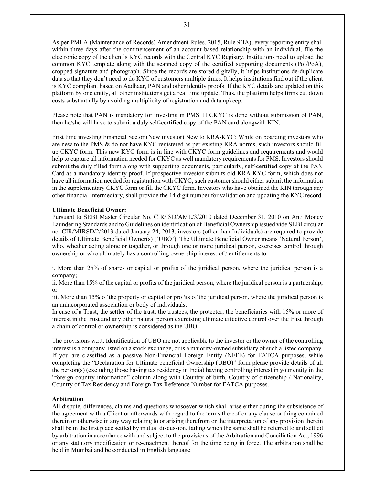As per PMLA (Maintenance of Records) Amendment Rules, 2015, Rule 9(IA), every reporting entity shall within three days after the commencement of an account based relationship with an individual, file the electronic copy of the client's KYC records with the Central KYC Registry. Institutions need to upload the common KYC template along with the scanned copy of the certified supporting documents (PoI/PoA), cropped signature and photograph. Since the records are stored digitally, it helps institutions de-duplicate data so that they don't need to do KYC of customers multiple times. It helps institutions find out if the client is KYC compliant based on Aadhaar, PAN and other identity proofs. If the KYC details are updated on this platform by one entity, all other institutions get a real time update. Thus, the platform helps firms cut down costs substantially by avoiding multiplicity of registration and data upkeep.

Please note that PAN is mandatory for investing in PMS. If CKYC is done without submission of PAN, then he/she will have to submit a duly self-certified copy of the PAN card alongwith KIN.

First time investing Financial Sector (New investor) New to KRA-KYC: While on boarding investors who are new to the PMS & do not have KYC registered as per existing KRA norms, such investors should fill up CKYC form. This new KYC form is in line with CKYC form guidelines and requirements and would help to capture all information needed for CKYC as well mandatory requirements for PMS. Investors should submit the duly filled form along with supporting documents, particularly, self-certified copy of the PAN Card as a mandatory identity proof. If prospective investor submits old KRA KYC form, which does not have all information needed for registration with CKYC, such customer should either submit the information in the supplementary CKYC form or fill the CKYC form. Investors who have obtained the KIN through any other financial intermediary, shall provide the 14 digit number for validation and updating the KYC record.

# **Ultimate Beneficial Owner:**

Pursuant to SEBI Master Circular No. CIR/ISD/AML/3/2010 dated December 31, 2010 on Anti Money Laundering Standards and to Guidelines on identification of Beneficial Ownership issued vide SEBI circular no. CIR/MIRSD/2/2013 dated January 24, 2013, investors (other than Individuals) are required to provide details of Ultimate Beneficial Owner(s) ('UBO'). The Ultimate Beneficial Owner means 'Natural Person', who, whether acting alone or together, or through one or more juridical person, exercises control through ownership or who ultimately has a controlling ownership interest of / entitlements to:

i. More than 25% of shares or capital or profits of the juridical person, where the juridical person is a company;

ii. More than 15% of the capital or profits of the juridical person, where the juridical person is a partnership; or

iii. More than 15% of the property or capital or profits of the juridical person, where the juridical person is an unincorporated association or body of individuals.

In case of a Trust, the settler of the trust, the trustees, the protector, the beneficiaries with 15% or more of interest in the trust and any other natural person exercising ultimate effective control over the trust through a chain of control or ownership is considered as the UBO.

The provisions w.r.t. Identification of UBO are not applicable to the investor or the owner of the controlling interest is a company listed on a stock exchange, or is a majority-owned subsidiary of such a listed company. If you are classified as a passive Non-Financial Foreign Entity (NFFE) for FATCA purposes, while completing the "Declaration for Ultimate beneficial Ownership (UBO)" form please provide details of all the person(s) (excluding those having tax residency in India) having controlling interest in your entity in the "foreign country information" column along with Country of birth, Country of citizenship / Nationality, Country of Tax Residency and Foreign Tax Reference Number for FATCA purposes.

# **Arbitration**

All dispute, differences, claims and questions whosoever which shall arise either during the subsistence of the agreement with a Client or afterwards with regard to the terms thereof or any clause or thing contained therein or otherwise in any way relating to or arising therefrom or the interpretation of any provision therein shall be in the first place settled by mutual discussion, failing which the same shall be referred to and settled by arbitration in accordance with and subject to the provisions of the Arbitration and Conciliation Act, 1996 or any statutory modification or re-enactment thereof for the time being in force. The arbitration shall be held in Mumbai and be conducted in English language.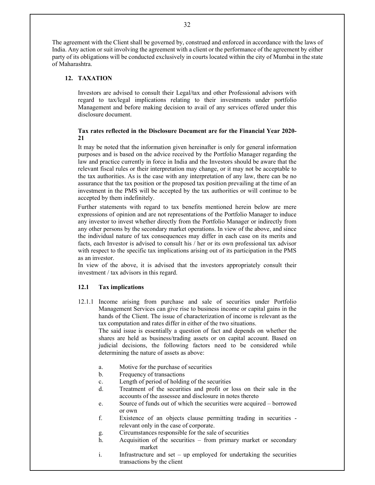The agreement with the Client shall be governed by, construed and enforced in accordance with the laws of India. Any action or suit involving the agreement with a client or the performance of the agreement by either party of its obligations will be conducted exclusively in courts located within the city of Mumbai in the state of Maharashtra.

# **12. TAXATION**

Investors are advised to consult their Legal/tax and other Professional advisors with regard to tax/legal implications relating to their investments under portfolio Management and before making decision to avail of any services offered under this disclosure document.

# **Tax rates reflected in the Disclosure Document are for the Financial Year 2020- 21**

It may be noted that the information given hereinafter is only for general information purposes and is based on the advice received by the Portfolio Manager regarding the law and practice currently in force in India and the Investors should be aware that the relevant fiscal rules or their interpretation may change, or it may not be acceptable to the tax authorities. As is the case with any interpretation of any law, there can be no assurance that the tax position or the proposed tax position prevailing at the time of an investment in the PMS will be accepted by the tax authorities or will continue to be accepted by them indefinitely.

Further statements with regard to tax benefits mentioned herein below are mere expressions of opinion and are not representations of the Portfolio Manager to induce any investor to invest whether directly from the Portfolio Manager or indirectly from any other persons by the secondary market operations. In view of the above, and since the individual nature of tax consequences may differ in each case on its merits and facts, each Investor is advised to consult his / her or its own professional tax advisor with respect to the specific tax implications arising out of its participation in the PMS as an investor.

In view of the above, it is advised that the investors appropriately consult their investment / tax advisors in this regard.

# **12.1 Tax implications**

12.1.1 Income arising from purchase and sale of securities under Portfolio Management Services can give rise to business income or capital gains in the hands of the Client. The issue of characterization of income is relevant as the tax computation and rates differ in either of the two situations.

The said issue is essentially a question of fact and depends on whether the shares are held as business/trading assets or on capital account. Based on judicial decisions, the following factors need to be considered while determining the nature of assets as above:

- a. Motive for the purchase of securities
- b. Frequency of transactions
- c. Length of period of holding of the securities
- d. Treatment of the securities and profit or loss on their sale in the accounts of the assessee and disclosure in notes thereto
- e. Source of funds out of which the securities were acquired borrowed or own
- f. Existence of an objects clause permitting trading in securities relevant only in the case of corporate.
- g. Circumstances responsible for the sale of securities
- h. Acquisition of the securities from primary market or secondary market
- i. Infrastructure and set up employed for undertaking the securities transactions by the client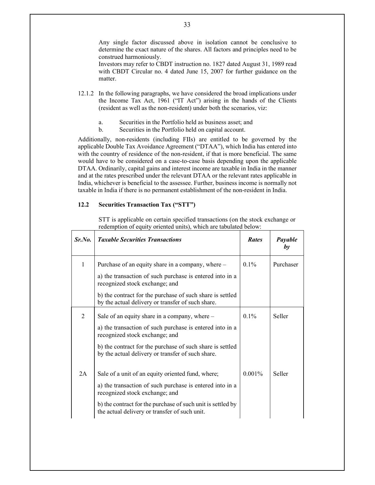Any single factor discussed above in isolation cannot be conclusive to determine the exact nature of the shares. All factors and principles need to be construed harmoniously.

Investors may refer to CBDT instruction no. 1827 dated August 31, 1989 read with CBDT Circular no. 4 dated June 15, 2007 for further guidance on the matter.

- 12.1.2 In the following paragraphs, we have considered the broad implications under the Income Tax Act, 1961 ("IT Act") arising in the hands of the Clients (resident as well as the non-resident) under both the scenarios, viz:
	- a. Securities in the Portfolio held as business asset; and
	- b. Securities in the Portfolio held on capital account.

Additionally, non-residents (including FIIs) are entitled to be governed by the applicable Double Tax Avoidance Agreement ("DTAA"), which India has entered into with the country of residence of the non-resident, if that is more beneficial. The same would have to be considered on a case-to-case basis depending upon the applicable DTAA. Ordinarily, capital gains and interest income are taxable in India in the manner and at the rates prescribed under the relevant DTAA or the relevant rates applicable in India, whichever is beneficial to the assessee. Further, business income is normally not taxable in India if there is no permanent establishment of the non-resident in India.

# **12.2 Securities Transaction Tax ("STT")**

STT is applicable on certain specified transactions (on the stock exchange or redemption of equity oriented units), which are tabulated below:

| Sr.No. | <b>Taxable Securities Transactions</b>                                                                         | <b>Rates</b> | Payable<br>by |
|--------|----------------------------------------------------------------------------------------------------------------|--------------|---------------|
| 1      | Purchase of an equity share in a company, where –                                                              | $0.1\%$      | Purchaser     |
|        | a) the transaction of such purchase is entered into in a<br>recognized stock exchange; and                     |              |               |
|        | b) the contract for the purchase of such share is settled<br>by the actual delivery or transfer of such share. |              |               |
| 2      | Sale of an equity share in a company, where –                                                                  | $0.1\%$      | Seller        |
|        | a) the transaction of such purchase is entered into in a<br>recognized stock exchange; and                     |              |               |
|        | b) the contract for the purchase of such share is settled<br>by the actual delivery or transfer of such share. |              |               |
| 2A     | Sale of a unit of an equity oriented fund, where;                                                              | $0.001\%$    | Seller        |
|        | a) the transaction of such purchase is entered into in a<br>recognized stock exchange; and                     |              |               |
|        | b) the contract for the purchase of such unit is settled by<br>the actual delivery or transfer of such unit.   |              |               |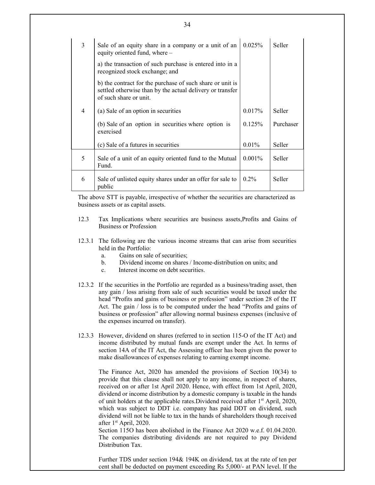| 3 | Sale of an equity share in a company or a unit of an<br>equity oriented fund, where -                                                            | 0.025%    | Seller    |
|---|--------------------------------------------------------------------------------------------------------------------------------------------------|-----------|-----------|
|   | a) the transaction of such purchase is entered into in a<br>recognized stock exchange; and                                                       |           |           |
|   | b) the contract for the purchase of such share or unit is<br>settled otherwise than by the actual delivery or transfer<br>of such share or unit. |           |           |
| 4 | (a) Sale of an option in securities                                                                                                              | 0.017%    | Seller    |
|   | (b) Sale of an option in securities where option is<br>exercised                                                                                 | 0.125%    | Purchaser |
|   | (c) Sale of a futures in securities                                                                                                              | $0.01\%$  | Seller    |
| 5 | Sale of a unit of an equity oriented fund to the Mutual<br>Fund.                                                                                 | $0.001\%$ | Seller    |
| 6 | Sale of unlisted equity shares under an offer for sale to<br>public                                                                              | $0.2\%$   | Seller    |

The above STT is payable, irrespective of whether the securities are characterized as business assets or as capital assets.

- 12.3 Tax Implications where securities are business assets,Profits and Gains of Business or Profession
- 12.3.1 The following are the various income streams that can arise from securities held in the Portfolio:
	- a. Gains on sale of securities;
	- b. Dividend income on shares / Income-distribution on units; and
	- c. Interest income on debt securities.
- 12.3.2 If the securities in the Portfolio are regarded as a business/trading asset, then any gain / loss arising from sale of such securities would be taxed under the head "Profits and gains of business or profession" under section 28 of the IT Act. The gain / loss is to be computed under the head "Profits and gains of business or profession" after allowing normal business expenses (inclusive of the expenses incurred on transfer).
- 12.3.3 However, dividend on shares (referred to in section 115-O of the IT Act) and income distributed by mutual funds are exempt under the Act. In terms of section 14A of the IT Act, the Assessing officer has been given the power to make disallowances of expenses relating to earning exempt income.

The Finance Act, 2020 has amended the provisions of Section 10(34) to provide that this clause shall not apply to any income, in respect of shares, received on or after 1st April 2020. Hence, with effect from 1st April, 2020, dividend or income distribution by a domestic company is taxable in the hands of unit holders at the applicable rates. Dividend received after 1<sup>st</sup> April, 2020, which was subject to DDT *i.e.* company has paid DDT on dividend, such dividend will not be liable to tax in the hands of shareholders though received after  $1<sup>st</sup>$  April, 2020.

Section 115O has been abolished in the Finance Act 2020 w.e.f. 01.04.2020. The companies distributing dividends are not required to pay Dividend Distribution Tax.

Further TDS under section 194& 194K on dividend, tax at the rate of ten per cent shall be deducted on payment exceeding Rs 5,000/- at PAN level. If the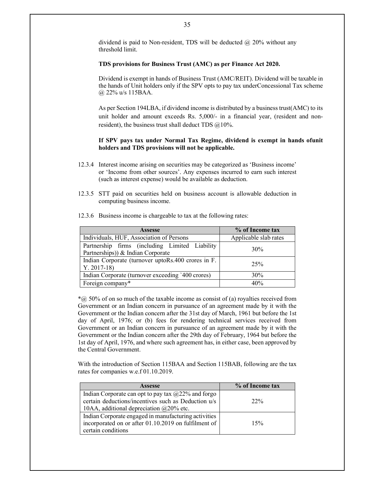dividend is paid to Non-resident, TDS will be deducted @ 20% without any threshold limit.

### **TDS provisions for Business Trust (AMC) as per Finance Act 2020.**

Dividend is exempt in hands of Business Trust (AMC/REIT). Dividend will be taxable in the hands of Unit holders only if the SPV opts to pay tax under Concessional Tax scheme @ 22% u/s 115BAA.

As per Section 194LBA, if dividend income is distributed by a business trust (AMC) to its unit holder and amount exceeds Rs. 5,000/- in a financial year, (resident and nonresident), the business trust shall deduct TDS  $@10\%$ .

### If SPV pays tax under Normal Tax Regime, dividend is exempt in hands of unit **holders and TDS provisions will not be applicable.**

- 12.3.4 Interest income arising on securities may be categorized as 'Business income' or 'Income from other sources'. Any expenses incurred to earn such interest (such as interest expense) would be available as deduction.
- 12.3.5 STT paid on securities held on business account is allowable deduction in computing business income.

| <b>Assesse</b>                                                                      | % of Income tax       |
|-------------------------------------------------------------------------------------|-----------------------|
| Individuals, HUF, Association of Persons                                            | Applicable slab rates |
| Partnership firms (including Limited Liability<br>Partnerships)) & Indian Corporate | 30%                   |
| Indian Corporate (turnover uptoRs.400 crores in F.<br>$Y. 2017-18$                  | 25%                   |
| Indian Corporate (turnover exceeding `400 crores)                                   | 30%                   |
| Foreign company*                                                                    | 40%                   |

12.3.6 Business income is chargeable to tax at the following rates:

 $*(a)$  50% of on so much of the taxable income as consist of (a) royalties received from Government or an Indian concern in pursuance of an agreement made by it with the Government or the Indian concern after the 31st day of March, 1961 but before the 1st day of April, 1976; or (b) fees for rendering technical services received from Government or an Indian concern in pursuance of an agreement made by it with the Government or the Indian concern after the 29th day of February, 1964 but before the 1st day of April, 1976, and where such agreement has, in either case, been approved by the Central Government.

With the introduction of Section 115BAA and Section 115BAB, following are the tax rates for companies w.e.f 01.10.2019.

| <b>Assesse</b>                                        | % of Income tax |
|-------------------------------------------------------|-----------------|
| Indian Corporate can opt to pay tax $@22\%$ and forgo |                 |
| certain deductions/incentives such as Deduction u/s   | 22%             |
| 10AA, additional depreciation $@20\%$ etc.            |                 |
| Indian Corporate engaged in manufacturing activities  |                 |
| incorporated on or after 01.10.2019 on fulfilment of  | 15%             |
| certain conditions                                    |                 |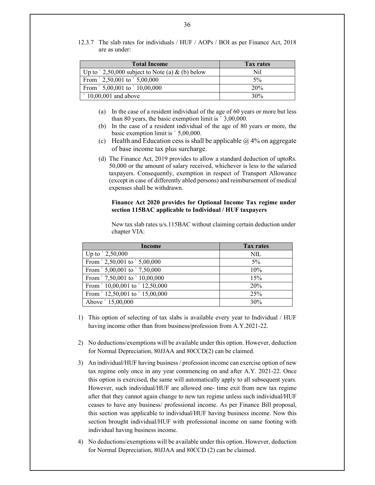12.3.7 The slab rates for individuals / HUF / AOPs / BOI as per Finance Act, 2018 are as under:

| <b>Total Income</b>                                      | <b>Tax rates</b> |
|----------------------------------------------------------|------------------|
| Up to $\degree$ 2,50,000 subject to Note (a) & (b) below | Nil              |
| From $\degree$ 2,50,001 to $\degree$ 5,00,000            | $5\%$            |
| From $\degree$ 5,00,001 to $\degree$ 10,00,000           | 20%              |
| $\degree$ 10,00,001 and above                            | 30%              |

- (a) In the case of a resident individual of the age of 60 years or more but less than 80 years, the basic exemption limit is ` 3,00,000.
- (b) In the case of a resident individual of the age of 80 years or more, the basic exemption limit is ` 5,00,000.
- (c) Health and Education cess is shall be applicable  $\omega$  4% on aggregate of base income tax plus surcharge.
- (d) The Finance Act, 2019 provides to allow a standard deduction of uptoRs. 50,000 or the amount of salary received, whichever is less to the salaried taxpayers. Consequently, exemption in respect of Transport Allowance (except in case of differently abled persons) and reimbursement of medical expenses shall be withdrawn.

# **Finance Act 2020 provides for Optional Income Tax regime under section 115BAC applicable to Individual / HUF taxpayers**

New tax slab rates u/s.115BAC without claiming certain deduction under chapter VIA:

| Income                                          | <b>Tax rates</b> |
|-------------------------------------------------|------------------|
| Up to $\degree$ 2,50,000                        | NIL              |
| From $\degree$ 2,50,001 to $\degree$ 5,00,000   | $5\%$            |
| From $\degree$ 5,00,001 to $\degree$ 7,50,000   | 10%              |
| From $\degree$ 7,50,001 to $\degree$ 10,00,000  | 15%              |
| From $\degree$ 10,00,001 to $\degree$ 12,50,000 | 20%              |
| From $\degree$ 12,50,001 to $\degree$ 15,00,000 | 25%              |
| Above ' 15,00,000                               | 30%              |

- 1) This option of selecting of tax slabs is available every year to Individual / HUF having income other than from business/profession from A.Y.2021-22.
- 2) No deductions/exemptions will be available under this option. However, deduction for Normal Depreciation, 80JJAA and 80CCD(2) can be claimed.
- 3) An individual/HUF having business / profession income can exercise option of new tax regime only once in any year commencing on and after A.Y. 2021-22. Once this option is exercised, the same will automatically apply to all subsequent years. However, such individual/HUF are allowed one- time exit from new tax regime after that they cannot again change to new tax regime unless such individual/HUF ceases to have any business/ professional income. As per Finance Bill proposal, this section was applicable to individual/HUF having business income. Now this section brought individual/HUF with professional income on same footing with individual having business income.
- 4) No deductions/exemptions will be available under this option. However, deduction for Normal Depreciation, 80JJAA and 80CCD (2) can be claimed.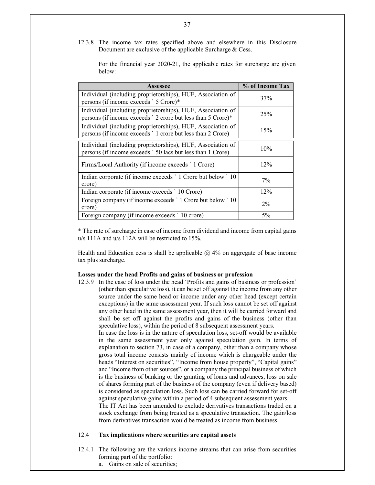12.3.8 The income tax rates specified above and elsewhere in this Disclosure Document are exclusive of the applicable Surcharge & Cess.

For the financial year 2020-21, the applicable rates for surcharge are given below:

| Assessee                                                                                                                    | % of Income Tax |
|-----------------------------------------------------------------------------------------------------------------------------|-----------------|
| Individual (including proprietorships), HUF, Association of<br>persons (if income exceeds ` 5 Crore)*                       | 37%             |
| Individual (including proprietorships), HUF, Association of<br>persons (if income exceeds ' 2 crore but less than 5 Crore)* | 25%             |
| Individual (including proprietorships), HUF, Association of<br>persons (if income exceeds '1 crore but less than 2 Crore)   | 15%             |
| Individual (including proprietorships), HUF, Association of<br>persons (if income exceeds ` 50 lacs but less than 1 Crore)  | 10%             |
| Firms/Local Authority (if income exceeds ` 1 Crore)                                                                         | $12\%$          |
| Indian corporate (if income exceeds ` 1 Crore but below ` 10<br>crore)                                                      | $7\%$           |
| Indian corporate (if income exceeds ` 10 Crore)                                                                             | 12%             |
| Foreign company (if income exceeds `1 Crore but below `10<br>crore)                                                         | $2\%$           |
| Foreign company (if income exceeds ' 10 crore)                                                                              | $5\%$           |

\* The rate of surcharge in case of income from dividend and income from capital gains u/s 111A and u/s 112A will be restricted to 15%.

Health and Education cess is shall be applicable  $\omega$  4% on aggregate of base income tax plus surcharge.

#### **Losses under the head Profits and gains of business or profession**

12.3.9 In the case of loss under the head 'Profits and gains of business or profession' (other than speculative loss), it can be set off against the income from any other source under the same head or income under any other head (except certain exceptions) in the same assessment year. If such loss cannot be set off against any other head in the same assessment year, then it will be carried forward and shall be set off against the profits and gains of the business (other than speculative loss), within the period of 8 subsequent assessment years. In case the loss is in the nature of speculation loss, set-off would be available in the same assessment year only against speculation gain. In terms of explanation to section 73, in case of a company, other than a company whose gross total income consists mainly of income which is chargeable under the heads "Interest on securities", "Income from house property", "Capital gains" and "Income from other sources", or a company the principal business of which is the business of banking or the granting of loans and advances, loss on sale of shares forming part of the business of the company (even if delivery based) is considered as speculation loss. Such loss can be carried forward for set-off against speculative gains within a period of 4 subsequent assessment years. The IT Act has been amended to exclude derivatives transactions traded on a stock exchange from being treated as a speculative transaction. The gain/loss from derivatives transaction would be treated as income from business.

### 12.4 **Tax implications where securities are capital assets**

- 12.4.1 The following are the various income streams that can arise from securities forming part of the portfolio:
	- a. Gains on sale of securities;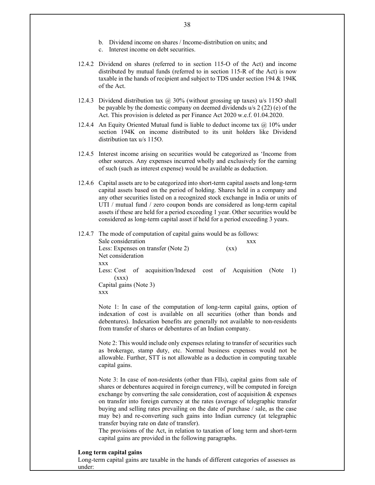- b. Dividend income on shares / Income-distribution on units; and
- c. Interest income on debt securities.
- 12.4.2 Dividend on shares (referred to in section 115-O of the Act) and income distributed by mutual funds (referred to in section 115-R of the Act) is now taxable in the hands of recipient and subject to TDS under section 194 & 194K of the Act.
- 12.4.3 Dividend distribution tax @ 30% (without grossing up taxes) u/s 115O shall be payable by the domestic company on deemed dividends u/s 2 (22) (e) of the Act. This provision is deleted as per Finance Act 2020 w.e.f. 01.04.2020.
- 12.4.4 An Equity Oriented Mutual fund is liable to deduct income tax  $@$  10% under section 194K on income distributed to its unit holders like Dividend distribution tax u/s 115O.
- 12.4.5 Interest income arising on securities would be categorized as 'Income from other sources. Any expenses incurred wholly and exclusively for the earning of such (such as interest expense) would be available as deduction.
- 12.4.6 Capital assets are to be categorized into short-term capital assets and long-term capital assets based on the period of holding. Shares held in a company and any other securities listed on a recognized stock exchange in India or units of UTI / mutual fund / zero coupon bonds are considered as long-term capital assets if these are held for a period exceeding 1 year. Other securities would be considered as long-term capital asset if held for a period exceeding 3 years.
- 12.4.7 The mode of computation of capital gains would be as follows: Sale consideration xxx Less: Expenses on transfer (Note 2) (xx) Net consideration xxx Less: Cost of acquisition/Indexed cost of Acquisition (Note 1)  $(xxx)$ Capital gains (Note 3) xxx

Note 1: In case of the computation of long-term capital gains, option of indexation of cost is available on all securities (other than bonds and debentures). Indexation benefits are generally not available to non-residents from transfer of shares or debentures of an Indian company.

Note 2: This would include only expenses relating to transfer of securities such as brokerage, stamp duty, etc. Normal business expenses would not be allowable. Further, STT is not allowable as a deduction in computing taxable capital gains.

Note 3: In case of non-residents (other than FIIs), capital gains from sale of shares or debentures acquired in foreign currency, will be computed in foreign exchange by converting the sale consideration, cost of acquisition & expenses on transfer into foreign currency at the rates (average of telegraphic transfer buying and selling rates prevailing on the date of purchase / sale, as the case may be) and re-converting such gains into Indian currency (at telegraphic transfer buying rate on date of transfer).

The provisions of the Act, in relation to taxation of long term and short-term capital gains are provided in the following paragraphs.

#### **Long term capital gains**

Long-term capital gains are taxable in the hands of different categories of assesses as under: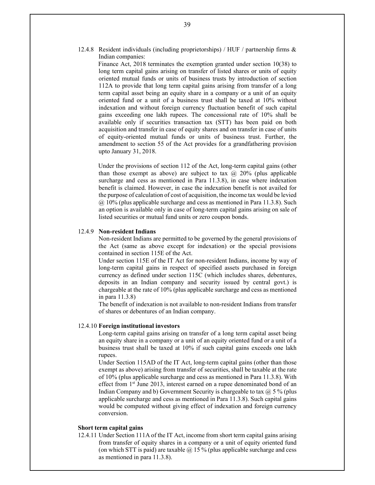12.4.8 Resident individuals (including proprietorships) / HUF / partnership firms & Indian companies:

> Finance Act, 2018 terminates the exemption granted under section 10(38) to long term capital gains arising on transfer of listed shares or units of equity oriented mutual funds or units of business trusts by introduction of section 112A to provide that long term capital gains arising from transfer of a long term capital asset being an equity share in a company or a unit of an equity oriented fund or a unit of a business trust shall be taxed at 10% without indexation and without foreign currency fluctuation benefit of such capital gains exceeding one lakh rupees. The concessional rate of 10% shall be available only if securities transaction tax (STT) has been paid on both acquisition and transfer in case of equity shares and on transfer in case of units of equity-oriented mutual funds or units of business trust. Further, the amendment to section 55 of the Act provides for a grandfathering provision upto January 31, 2018.

> Under the provisions of section 112 of the Act, long-term capital gains (other than those exempt as above) are subject to tax  $\omega$  20% (plus applicable surcharge and cess as mentioned in Para 11.3.8), in case where indexation benefit is claimed. However, in case the indexation benefit is not availed for the purpose of calculation of cost of acquisition, the income tax would be levied  $@10%$  (plus applicable surcharge and cess as mentioned in Para 11.3.8). Such an option is available only in case of long-term capital gains arising on sale of listed securities or mutual fund units or zero coupon bonds.

#### 12.4.9 **Non-resident Indians**

Non-resident Indians are permitted to be governed by the general provisions of the Act (same as above except for indexation) or the special provisions contained in section 115E of the Act.

Under section 115E of the IT Act for non-resident Indians, income by way of long-term capital gains in respect of specified assets purchased in foreign currency as defined under section 115C (which includes shares, debentures, deposits in an Indian company and security issued by central govt.) is chargeable at the rate of 10% (plus applicable surcharge and cess as mentioned in para 11.3.8)

The benefit of indexation is not available to non-resident Indians from transfer of shares or debentures of an Indian company.

#### 12.4.10 **Foreign institutional investors**

Long-term capital gains arising on transfer of a long term capital asset being an equity share in a company or a unit of an equity oriented fund or a unit of a business trust shall be taxed at 10% if such capital gains exceeds one lakh rupees.

Under Section 115AD of the IT Act, long-term capital gains (other than those exempt as above) arising from transfer of securities, shall be taxable at the rate of 10% (plus applicable surcharge and cess as mentioned in Para 11.3.8). With effect from 1<sup>st</sup> June 2013, interest earned on a rupee denominated bond of an Indian Company and b) Government Security is chargeable to tax  $\omega$  5 % (plus applicable surcharge and cess as mentioned in Para 11.3.8). Such capital gains would be computed without giving effect of indexation and foreign currency conversion.

### **Short term capital gains**

12.4.11 Under Section 111A of the IT Act, income from short term capital gains arising from transfer of equity shares in a company or a unit of equity oriented fund (on which STT is paid) are taxable  $\omega$  15 % (plus applicable surcharge and cess as mentioned in para 11.3.8).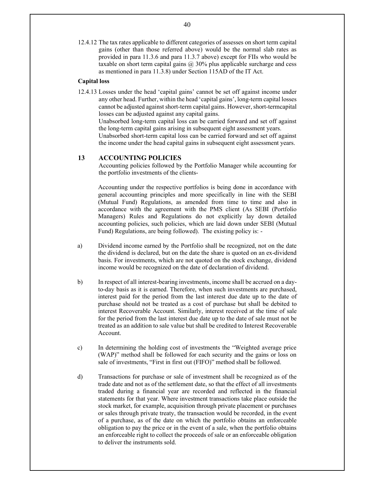12.4.12 The tax rates applicable to different categories of assesses on short term capital gains (other than those referred above) would be the normal slab rates as provided in para 11.3.6 and para 11.3.7 above) except for FIIs who would be taxable on short term capital gains  $(a)$  30% plus applicable surcharge and cess as mentioned in para 11.3.8) under Section 115AD of the IT Act.

# **Capital loss**

12.4.13 Losses under the head 'capital gains' cannot be set off against income under any other head. Further, within the head 'capital gains', long-term capital losses cannot be adjusted against short-term capital gains. However, short-term capital losses can be adjusted against any capital gains.

Unabsorbed long-term capital loss can be carried forward and set off against the long-term capital gains arising in subsequent eight assessment years.

Unabsorbed short-term capital loss can be carried forward and set off against the income under the head capital gains in subsequent eight assessment years.

# **13 ACCOUNTING POLICIES**

Accounting policies followed by the Portfolio Manager while accounting for the portfolio investments of the clients-

Accounting under the respective portfolios is being done in accordance with general accounting principles and more specifically in line with the SEBI (Mutual Fund) Regulations, as amended from time to time and also in accordance with the agreement with the PMS client (As SEBI (Portfolio Managers) Rules and Regulations do not explicitly lay down detailed accounting policies, such policies, which are laid down under SEBI (Mutual Fund) Regulations, are being followed). The existing policy is: -

- a) Dividend income earned by the Portfolio shall be recognized, not on the date the dividend is declared, but on the date the share is quoted on an ex-dividend basis. For investments, which are not quoted on the stock exchange, dividend income would be recognized on the date of declaration of dividend.
- b) In respect of all interest-bearing investments, income shall be accrued on a dayto-day basis as it is earned. Therefore, when such investments are purchased, interest paid for the period from the last interest due date up to the date of purchase should not be treated as a cost of purchase but shall be debited to interest Recoverable Account. Similarly, interest received at the time of sale for the period from the last interest due date up to the date of sale must not be treated as an addition to sale value but shall be credited to Interest Recoverable Account.
- c) In determining the holding cost of investments the "Weighted average price (WAP)" method shall be followed for each security and the gains or loss on sale of investments, "First in first out (FIFO)" method shall be followed.
- d) Transactions for purchase or sale of investment shall be recognized as of the trade date and not as of the settlement date, so that the effect of all investments traded during a financial year are recorded and reflected in the financial statements for that year. Where investment transactions take place outside the stock market, for example, acquisition through private placement or purchases or sales through private treaty, the transaction would be recorded, in the event of a purchase, as of the date on which the portfolio obtains an enforceable obligation to pay the price or in the event of a sale, when the portfolio obtains an enforceable right to collect the proceeds of sale or an enforceable obligation to deliver the instruments sold.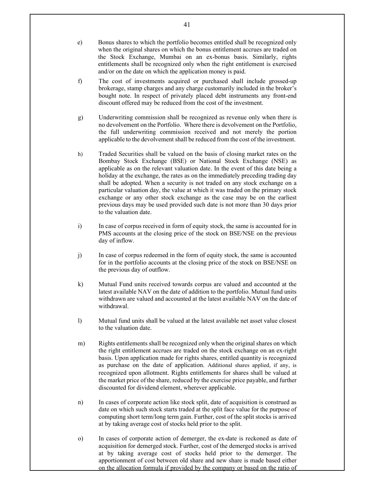- e) Bonus shares to which the portfolio becomes entitled shall be recognized only when the original shares on which the bonus entitlement accrues are traded on the Stock Exchange, Mumbai on an ex-bonus basis. Similarly, rights entitlements shall be recognized only when the right entitlement is exercised and/or on the date on which the application money is paid.
- f) The cost of investments acquired or purchased shall include grossed-up brokerage, stamp charges and any charge customarily included in the broker's bought note. In respect of privately placed debt instruments any front-end discount offered may be reduced from the cost of the investment.
- g) Underwriting commission shall be recognized as revenue only when there is no devolvement on the Portfolio. Where there is devolvement on the Portfolio, the full underwriting commission received and not merely the portion applicable to the devolvement shall be reduced from the cost of the investment.
- h) Traded Securities shall be valued on the basis of closing market rates on the Bombay Stock Exchange (BSE) or National Stock Exchange (NSE) as applicable as on the relevant valuation date. In the event of this date being a holiday at the exchange, the rates as on the immediately preceding trading day shall be adopted. When a security is not traded on any stock exchange on a particular valuation day, the value at which it was traded on the primary stock exchange or any other stock exchange as the case may be on the earliest previous days may be used provided such date is not more than 30 days prior to the valuation date.
- i) In case of corpus received in form of equity stock, the same is accounted for in PMS accounts at the closing price of the stock on BSE/NSE on the previous day of inflow.
- j) In case of corpus redeemed in the form of equity stock, the same is accounted for in the portfolio accounts at the closing price of the stock on BSE/NSE on the previous day of outflow.
- k) Mutual Fund units received towards corpus are valued and accounted at the latest available NAV on the date of addition to the portfolio. Mutual fund units withdrawn are valued and accounted at the latest available NAV on the date of withdrawal.
- l) Mutual fund units shall be valued at the latest available net asset value closest to the valuation date.
- m) Rights entitlements shall be recognized only when the original shares on which the right entitlement accrues are traded on the stock exchange on an ex-right basis. Upon application made for rights shares, entitled quantity is recognized as purchase on the date of application. Additional shares applied, if any, is recognized upon allotment. Rights entitlements for shares shall be valued at the market price of the share, reduced by the exercise price payable, and further discounted for dividend element, wherever applicable.
- n) In cases of corporate action like stock split, date of acquisition is construed as date on which such stock starts traded at the split face value for the purpose of computing short term/long term gain. Further, cost of the split stocks is arrived at by taking average cost of stocks held prior to the split.
- o) In cases of corporate action of demerger, the ex-date is reckoned as date of acquisition for demerged stock. Further, cost of the demerged stocks is arrived at by taking average cost of stocks held prior to the demerger. The apportionment of cost between old share and new share is made based either on the allocation formula if provided by the company or based on the ratio of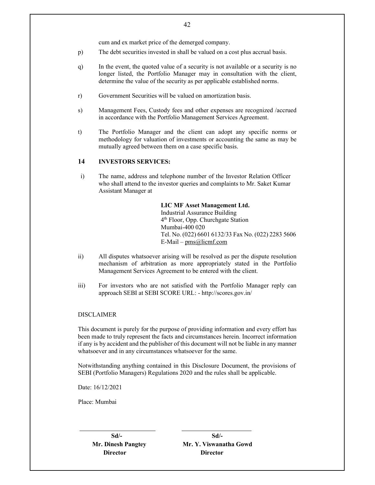cum and ex market price of the demerged company.

- p) The debt securities invested in shall be valued on a cost plus accrual basis.
- q) In the event, the quoted value of a security is not available or a security is no longer listed, the Portfolio Manager may in consultation with the client, determine the value of the security as per applicable established norms.
- r) Government Securities will be valued on amortization basis.
- s) Management Fees, Custody fees and other expenses are recognized /accrued in accordance with the Portfolio Management Services Agreement.
- t) The Portfolio Manager and the client can adopt any specific norms or methodology for valuation of investments or accounting the same as may be mutually agreed between them on a case specific basis.

# **14 INVESTORS SERVICES:**

i) The name, address and telephone number of the Investor Relation Officer who shall attend to the investor queries and complaints to Mr. Saket Kumar Assistant Manager at

# **LIC MF Asset Management Ltd.**

Industrial Assurance Building 4 th Floor, Opp. Churchgate Station Mumbai-400 020 Tel. No. (022) 6601 6132/33 Fax No. (022) 2283 5606  $E$ -Mail – pms@licmf.com

- ii) All disputes whatsoever arising will be resolved as per the dispute resolution mechanism of arbitration as more appropriately stated in the Portfolio Management Services Agreement to be entered with the client.
- iii) For investors who are not satisfied with the Portfolio Manager reply can approach SEBI at SEBI SCORE URL: - http://scores.gov.in/

#### DISCLAIMER

This document is purely for the purpose of providing information and every effort has been made to truly represent the facts and circumstances herein. Incorrect information if any is by accident and the publisher of this document will not be liable in any manner whatsoever and in any circumstances whatsoever for the same.

Notwithstanding anything contained in this Disclosure Document, the provisions of SEBI (Portfolio Managers) Regulations 2020 and the rules shall be applicable.

Date: 16/12/2021

Place: Mumbai

**Director Director** 

**Sd/- Sd/- Mr. Dinesh Pangtey Mr. Y. Viswanatha Gowd**